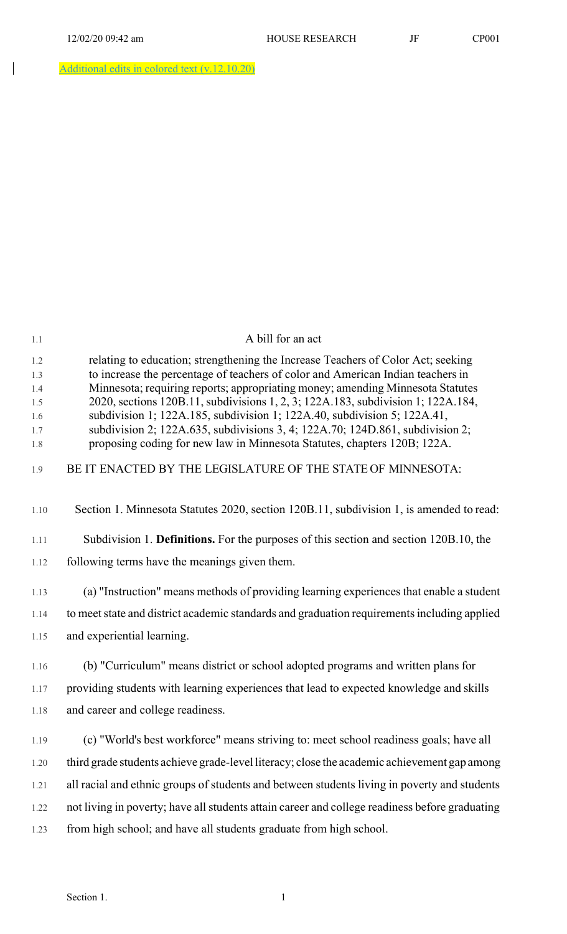$\begin{array}{c} \hline \end{array}$ 

Additional edits in colored text (v.12.10.20)

| 1.1                                           | A bill for an act                                                                                                                                                                                                                                                                                                                                                                                                                                                                                                                                                                  |
|-----------------------------------------------|------------------------------------------------------------------------------------------------------------------------------------------------------------------------------------------------------------------------------------------------------------------------------------------------------------------------------------------------------------------------------------------------------------------------------------------------------------------------------------------------------------------------------------------------------------------------------------|
| 1.2<br>1.3<br>1.4<br>1.5<br>1.6<br>1.7<br>1.8 | relating to education; strengthening the Increase Teachers of Color Act; seeking<br>to increase the percentage of teachers of color and American Indian teachers in<br>Minnesota; requiring reports; appropriating money; amending Minnesota Statutes<br>2020, sections 120B.11, subdivisions 1, 2, 3; 122A.183, subdivision 1; 122A.184,<br>subdivision 1; 122A.185, subdivision 1; 122A.40, subdivision 5; 122A.41,<br>subdivision 2; 122A.635, subdivisions 3, 4; 122A.70; 124D.861, subdivision 2;<br>proposing coding for new law in Minnesota Statutes, chapters 120B; 122A. |
| 1.9                                           | BE IT ENACTED BY THE LEGISLATURE OF THE STATE OF MINNESOTA:                                                                                                                                                                                                                                                                                                                                                                                                                                                                                                                        |
| 1.10                                          | Section 1. Minnesota Statutes 2020, section 120B.11, subdivision 1, is amended to read:                                                                                                                                                                                                                                                                                                                                                                                                                                                                                            |
| 1.11                                          | Subdivision 1. Definitions. For the purposes of this section and section 120B.10, the                                                                                                                                                                                                                                                                                                                                                                                                                                                                                              |
| 1.12                                          | following terms have the meanings given them.                                                                                                                                                                                                                                                                                                                                                                                                                                                                                                                                      |
| 1.13                                          | (a) "Instruction" means methods of providing learning experiences that enable a student                                                                                                                                                                                                                                                                                                                                                                                                                                                                                            |
| 1.14                                          | to meet state and district academic standards and graduation requirements including applied                                                                                                                                                                                                                                                                                                                                                                                                                                                                                        |
| 1.15                                          | and experiential learning.                                                                                                                                                                                                                                                                                                                                                                                                                                                                                                                                                         |
| 1.16                                          | (b) "Curriculum" means district or school adopted programs and written plans for                                                                                                                                                                                                                                                                                                                                                                                                                                                                                                   |
| 1.17                                          | providing students with learning experiences that lead to expected knowledge and skills                                                                                                                                                                                                                                                                                                                                                                                                                                                                                            |
| 1.18                                          | and career and college readiness.                                                                                                                                                                                                                                                                                                                                                                                                                                                                                                                                                  |
| 1.19                                          | (c) "World's best workforce" means striving to: meet school readiness goals; have all                                                                                                                                                                                                                                                                                                                                                                                                                                                                                              |
| 1.20                                          | third grade students achieve grade-level literacy; close the academic achievement gap among                                                                                                                                                                                                                                                                                                                                                                                                                                                                                        |
| 1.21                                          | all racial and ethnic groups of students and between students living in poverty and students                                                                                                                                                                                                                                                                                                                                                                                                                                                                                       |
| 1.22                                          | not living in poverty; have all students attain career and college readiness before graduating                                                                                                                                                                                                                                                                                                                                                                                                                                                                                     |
| 1.23                                          | from high school; and have all students graduate from high school.                                                                                                                                                                                                                                                                                                                                                                                                                                                                                                                 |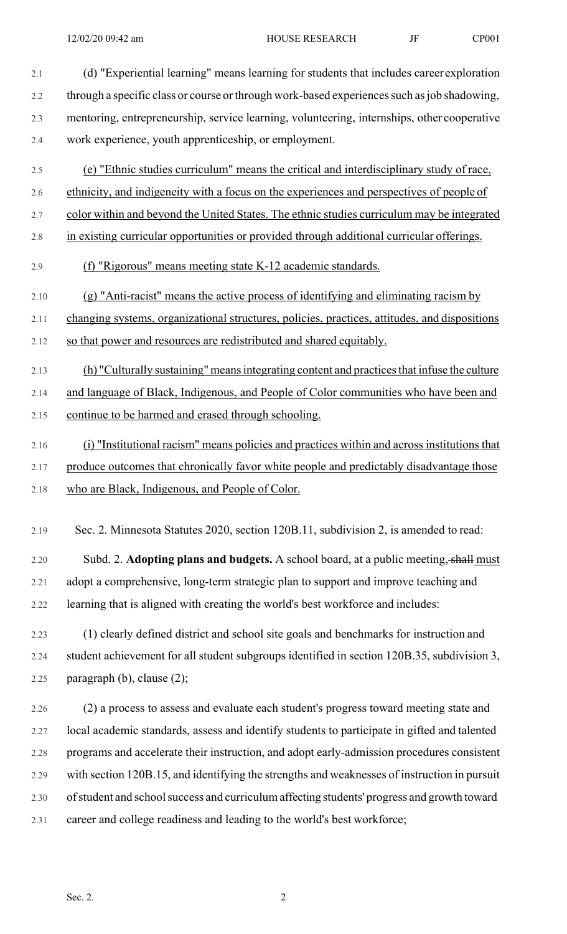2.1 (d) "Experiential learning" means learning for students that includes career exploration 2.2 through a specific class or course or through work-based experiences such as job shadowing, 2.3 mentoring, entrepreneurship, service learning, volunteering, internships, other cooperative 2.4 work experience, youth apprenticeship, or employment.

- 2.5 (e) "Ethnic studies curriculum" means the critical and interdisciplinary study of race,
- 2.6 ethnicity, and indigeneity with a focus on the experiences and perspectives of people of
- 2.7 color within and beyond the United States. The ethnic studies curriculum may be integrated
- 2.8 in existing curricular opportunities or provided through additional curricular offerings.

2.9 (f) "Rigorous" means meeting state K-12 academic standards.

2.10 (g) "Anti-racist" means the active process of identifying and eliminating racism by

2.11 changing systems, organizational structures, policies, practices, attitudes, and dispositions

2.12 so that power and resources are redistributed and shared equitably.

- 2.13 (h) "Culturally sustaining" means integrating content and practices that infuse the culture 2.14 and language of Black, Indigenous, and People of Color communities who have been and 2.15 continue to be harmed and erased through schooling.
- 2.16 (i) "Institutional racism" means policies and practices within and across institutions that 2.17 produce outcomes that chronically favor white people and predictably disadvantage those
- 2.18 who are Black, Indigenous, and People of Color.
- 

2.19 Sec. 2. Minnesota Statutes 2020, section 120B.11, subdivision 2, is amended to read:

2.20 Subd. 2. **Adopting plans and budgets.** A school board, at a public meeting, shall must 2.21 adopt a comprehensive, long-term strategic plan to support and improve teaching and 2.22 learning that is aligned with creating the world's best workforce and includes:

2.23 (1) clearly defined district and school site goals and benchmarks for instruction and 2.24 student achievement for all student subgroups identified in section 120B.35, subdivision 3, 2.25 paragraph (b), clause (2);

2.26 (2) a process to assess and evaluate each student's progress toward meeting state and 2.27 local academic standards, assess and identify students to participate in gifted and talented 2.28 programs and accelerate their instruction, and adopt early-admission procedures consistent 2.29 with section 120B.15, and identifying the strengths and weaknesses of instruction in pursuit 2.30 of student and school success and curriculum affecting students' progress and growth toward 2.31 career and college readiness and leading to the world's best workforce;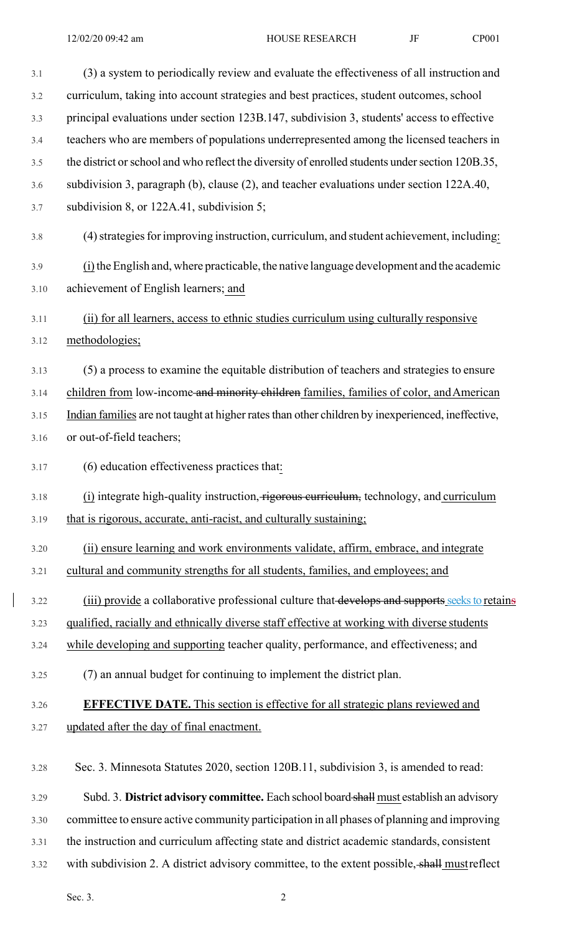| 3.1  | (3) a system to periodically review and evaluate the effectiveness of all instruction and         |
|------|---------------------------------------------------------------------------------------------------|
| 3.2  | curriculum, taking into account strategies and best practices, student outcomes, school           |
| 3.3  | principal evaluations under section 123B.147, subdivision 3, students' access to effective        |
| 3.4  | teachers who are members of populations underrepresented among the licensed teachers in           |
| 3.5  | the district or school and who reflect the diversity of enrolled students under section 120B.35,  |
| 3.6  | subdivision 3, paragraph (b), clause (2), and teacher evaluations under section 122A.40,          |
| 3.7  | subdivision 8, or 122A.41, subdivision 5;                                                         |
| 3.8  | (4) strategies for improving instruction, curriculum, and student achievement, including:         |
| 3.9  | $(i)$ the English and, where practicable, the native language development and the academic        |
| 3.10 | achievement of English learners; and                                                              |
| 3.11 | (ii) for all learners, access to ethnic studies curriculum using culturally responsive            |
| 3.12 | methodologies;                                                                                    |
| 3.13 | (5) a process to examine the equitable distribution of teachers and strategies to ensure          |
| 3.14 | children from low-income and minority children families, families of color, and American          |
| 3.15 | Indian families are not taught at higher rates than other children by inexperienced, ineffective, |
| 3.16 | or out-of-field teachers;                                                                         |
| 3.17 | (6) education effectiveness practices that:                                                       |
| 3.18 | (i) integrate high-quality instruction, rigorous curriculum, technology, and curriculum           |
| 3.19 | that is rigorous, accurate, anti-racist, and culturally sustaining;                               |
| 3.20 | (ii) ensure learning and work environments validate, affirm, embrace, and integrate               |
| 3.21 | cultural and community strengths for all students, families, and employees; and                   |
| 3.22 | (iii) provide a collaborative professional culture that develops and supports seeks to retains    |
| 3.23 | qualified, racially and ethnically diverse staff effective at working with diverse students       |
| 3.24 | while developing and supporting teacher quality, performance, and effectiveness; and              |
| 3.25 | (7) an annual budget for continuing to implement the district plan.                               |
| 3.26 | <b>EFFECTIVE DATE.</b> This section is effective for all strategic plans reviewed and             |
| 3.27 | updated after the day of final enactment.                                                         |
| 3.28 | Sec. 3. Minnesota Statutes 2020, section 120B.11, subdivision 3, is amended to read:              |
| 3.29 | Subd. 3. District advisory committee. Each school board shall must establish an advisory          |
| 3.30 | committee to ensure active community participation in all phases of planning and improving        |
| 3.31 | the instruction and curriculum affecting state and district academic standards, consistent        |
| 3.32 | with subdivision 2. A district advisory committee, to the extent possible, shall must reflect     |

Sec. 3. 2

 $\begin{array}{c} \hline \end{array}$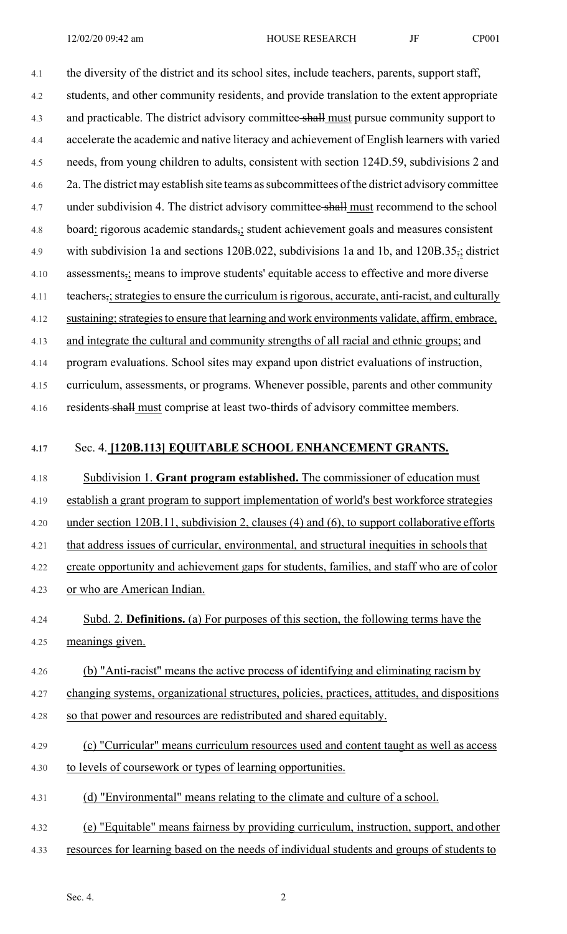12/02/20 09:42 am HOUSE RESEARCH JF CP001

4.1 the diversity of the district and its school sites, include teachers, parents, support staff, 4.2 students, and other community residents, and provide translation to the extent appropriate 4.3 and practicable. The district advisory committee shall must pursue community support to 4.4 accelerate the academic and native literacy and achievement of English learners with varied 4.5 needs, from young children to adults, consistent with section 124D.59, subdivisions 2 and 4.6 2a. The district may establish site teams as subcommittees of the district advisory committee 4.7 under subdivision 4. The district advisory committee shall must recommend to the school 4.8 board: rigorous academic standards,; student achievement goals and measures consistent 4.9 with subdivision 1a and sections 120B.022, subdivisions 1a and 1b, and 120B.35,; district 4.10 assessments,; means to improve students' equitable access to effective and more diverse 4.11 teachers,; strategies to ensure the curriculum is rigorous, accurate, anti-racist, and culturally 4.12 sustaining; strategies to ensure that learning and work environments validate, affirm, embrace, 4.13 and integrate the cultural and community strengths of all racial and ethnic groups; and 4.14 program evaluations. School sites may expand upon district evaluations of instruction, 4.15 curriculum, assessments, or programs. Whenever possible, parents and other community

4.16 residents shall must comprise at least two-thirds of advisory committee members.

#### **4.17** Sec. 4. **[120B.113] EQUITABLE SCHOOL ENHANCEMENT GRANTS.**

4.18 Subdivision 1. **Grant program established.** The commissioner of education must 4.19 establish a grant program to support implementation of world's best workforce strategies 4.20 under section 120B.11, subdivision 2, clauses (4) and (6), to support collaborative efforts 4.21 that address issues of curricular, environmental, and structural inequities in schools that 4.22 create opportunity and achievement gaps for students, families, and staff who are of color 4.23 or who are American Indian.

4.24 Subd. 2. **Definitions.** (a) For purposes of this section, the following terms have the 4.25 meanings given.

# 4.26 (b) "Anti-racist" means the active process of identifying and eliminating racism by

4.27 changing systems, organizational structures, policies, practices, attitudes, and dispositions 4.28 so that power and resources are redistributed and shared equitably.

- 4.29 (c) "Curricular" means curriculum resources used and content taught as well as access 4.30 to levels of coursework or types of learning opportunities.
- 4.31 (d) "Environmental" means relating to the climate and culture of a school.
- 4.32 (e) "Equitable" means fairness by providing curriculum, instruction, support, and other
- 4.33 resources for learning based on the needs of individual students and groups of students to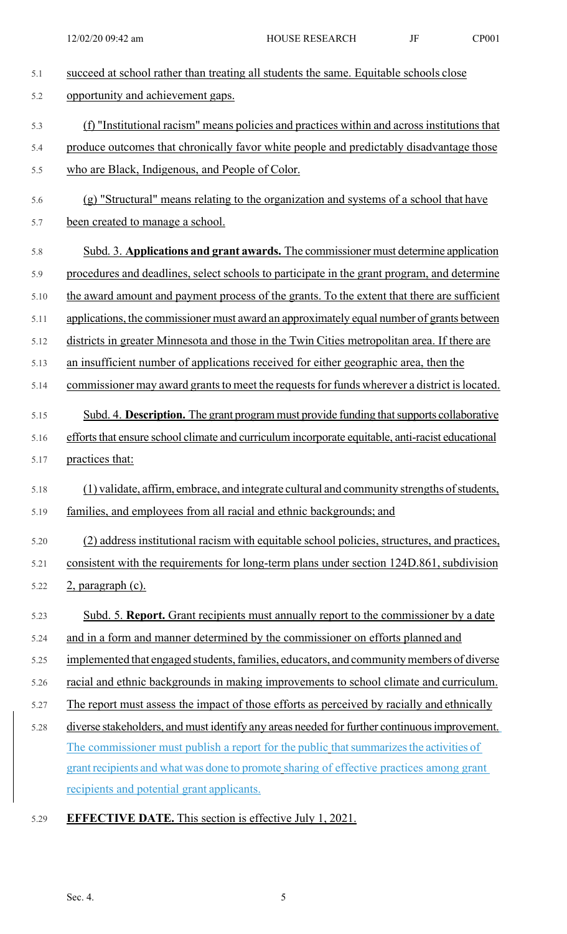| 5.1  | succeed at school rather than treating all students the same. Equitable schools close            |
|------|--------------------------------------------------------------------------------------------------|
| 5.2  | opportunity and achievement gaps.                                                                |
| 5.3  | (f) "Institutional racism" means policies and practices within and across institutions that      |
| 5.4  | produce outcomes that chronically favor white people and predictably disadvantage those          |
| 5.5  | who are Black, Indigenous, and People of Color.                                                  |
| 5.6  | (g) "Structural" means relating to the organization and systems of a school that have            |
| 5.7  | been created to manage a school.                                                                 |
| 5.8  | Subd. 3. Applications and grant awards. The commissioner must determine application              |
| 5.9  | procedures and deadlines, select schools to participate in the grant program, and determine      |
| 5.10 | the award amount and payment process of the grants. To the extent that there are sufficient      |
| 5.11 | applications, the commissioner must award an approximately equal number of grants between        |
| 5.12 | districts in greater Minnesota and those in the Twin Cities metropolitan area. If there are      |
| 5.13 | an insufficient number of applications received for either geographic area, then the             |
| 5.14 | commissioner may award grants to meet the requests for funds wherever a district is located.     |
| 5.15 | Subd. 4. Description. The grant program must provide funding that supports collaborative         |
| 5.16 | efforts that ensure school climate and curriculum incorporate equitable, anti-racist educational |
| 5.17 | practices that:                                                                                  |
| 5.18 | (1) validate, affirm, embrace, and integrate cultural and community strengths of students,       |
| 5.19 | families, and employees from all racial and ethnic backgrounds; and                              |
| 5.20 | (2) address institutional racism with equitable school policies, structures, and practices,      |
| 5.21 | consistent with the requirements for long-term plans under section 124D.861, subdivision         |
| 5.22 | 2, paragraph (c).                                                                                |
| 5.23 | Subd. 5. Report. Grant recipients must annually report to the commissioner by a date             |
| 5.24 | and in a form and manner determined by the commissioner on efforts planned and                   |
| 5.25 | implemented that engaged students, families, educators, and community members of diverse         |
| 5.26 | racial and ethnic backgrounds in making improvements to school climate and curriculum.           |
| 5.27 | The report must assess the impact of those efforts as perceived by racially and ethnically       |
| 5.28 | diverse stakeholders, and must identify any areas needed for further continuous improvement.     |
|      | The commissioner must publish a report for the public that summarizes the activities of          |
|      | grant recipients and what was done to promote sharing of effective practices among grant         |
|      | recipients and potential grant applicants.                                                       |

5.29 **EFFECTIVE DATE.** This section is effective July 1, 2021.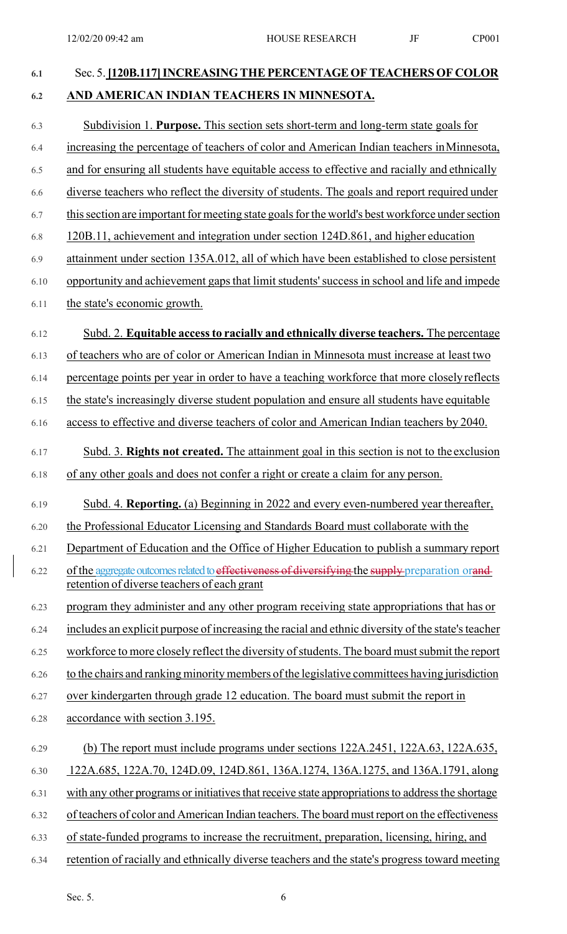# **6.1** Sec. 5. **[120B.117] INCREASING THE PERCENTAGE OF TEACHERS OF COLOR 6.2 AND AMERICAN INDIAN TEACHERS IN MINNESOTA.**  6.3 Subdivision 1. **Purpose.** This section sets short-term and long-term state goals for 6.4 increasing the percentage of teachers of color and American Indian teachers in Minnesota, 6.5 and for ensuring all students have equitable access to effective and racially and ethnically 6.6 diverse teachers who reflect the diversity of students. The goals and report required under 6.7 this section are important for meeting state goals for the world's best workforce under section 6.8 120B.11, achievement and integration under section 124D.861, and higher education 6.9 attainment under section 135A.012, all of which have been established to close persistent 6.10 opportunity and achievement gaps that limit students' success in school and life and impede 6.11 the state's economic growth. 6.12 Subd. 2. **Equitable access to racially and ethnically diverse teachers.** The percentage 6.13 of teachers who are of color or American Indian in Minnesota must increase at least two 6.14 percentage points per year in order to have a teaching workforce that more closely reflects 6.15 the state's increasingly diverse student population and ensure all students have equitable 6.16 access to effective and diverse teachers of color and American Indian teachers by 2040. 6.17 Subd. 3. **Rights not created.** The attainment goal in this section is not to the exclusion 6.18 of any other goals and does not confer a right or create a claim for any person. 6.19 Subd. 4. **Reporting.** (a) Beginning in 2022 and every even-numbered year thereafter, 6.20 the Professional Educator Licensing and Standards Board must collaborate with the 6.21 Department of Education and the Office of Higher Education to publish a summary report 6.22 of the aggregate outcomes related to effectiveness of diversifying the supply preparation orand retention of diverse teachers of each grant 6.23 program they administer and any other program receiving state appropriations that has or 6.24 includes an explicit purpose of increasing the racial and ethnic diversity of the state's teacher 6.25 workforce to more closely reflect the diversity of students. The board must submit the report 6.26 to the chairs and ranking minority members of the legislative committees having jurisdiction 6.27 over kindergarten through grade 12 education. The board must submit the report in 6.28 accordance with section 3.195. 6.29 (b) The report must include programs under sections 122A.2451, 122A.63, 122A.635, 6.30 122A.685, 122A.70, 124D.09, 124D.861, 136A.1274, 136A.1275, and 136A.1791, along 6.31 with any other programs or initiatives that receive state appropriations to address the shortage 6.32 of teachers of color and American Indian teachers. The board must report on the effectiveness 6.33 of state-funded programs to increase the recruitment, preparation, licensing, hiring, and 6.34 retention of racially and ethnically diverse teachers and the state's progress toward meeting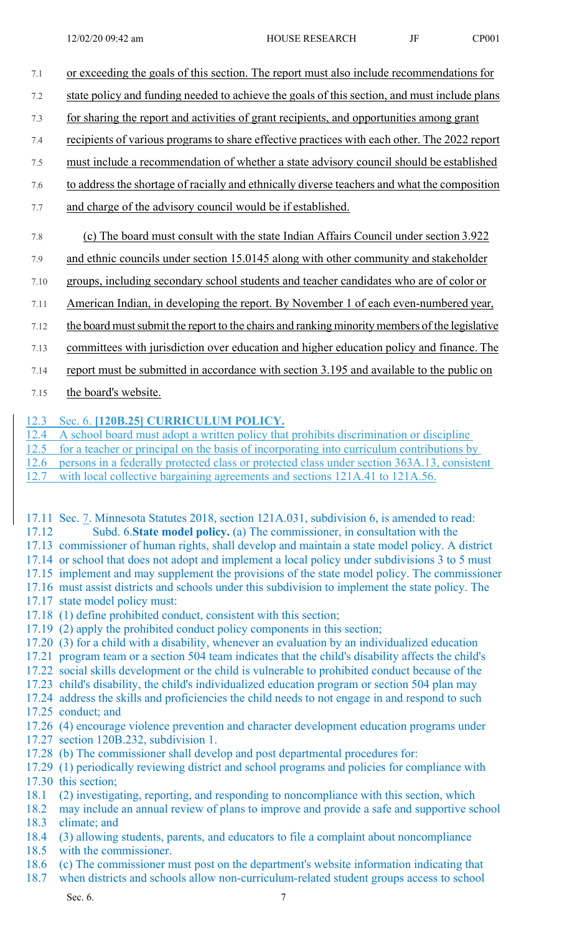- 7.1 or exceeding the goals of this section. The report must also include recommendations for
- 7.2 state policy and funding needed to achieve the goals of this section, and must include plans
- 7.3 for sharing the report and activities of grant recipients, and opportunities among grant
- 7.4 recipients of various programs to share effective practices with each other. The 2022 report
- 7.5 must include a recommendation of whether a state advisory council should be established
- 7.6 to address the shortage of racially and ethnically diverse teachers and what the composition
- 7.7 and charge of the advisory council would be if established.
- 7.8 (c) The board must consult with the state Indian Affairs Council under section 3.922
- 7.9 and ethnic councils under section 15.0145 along with other community and stakeholder
- 7.10 groups, including secondary school students and teacher candidates who are of color or
- 7.11 American Indian, in developing the report. By November 1 of each even-numbered year,
- 7.12 the board must submit the report to the chairs and ranking minority members of the legislative
- 7.13 committees with jurisdiction over education and higher education policy and finance. The
- 7.14 report must be submitted in accordance with section 3.195 and available to the public on
- 7.15 the board's website.

## 12.3 Sec. 6. **[120B.25] CURRICULUM POLICY.**

12.4 A school board must adopt a written policy that prohibits discrimination or discipline

- 12.5 for a teacher or principal on the basis of incorporating into curriculum contributions by
- 12.6 persons in a federally protected class or protected class under section 363A.13, consistent
- 12.7 with local collective bargaining agreements and sections 121A.41 to 121A.56.
- 17.11 Sec. 7. Minnesota Statutes 2018, section 121A.031, subdivision 6, is amended to read: 17.12 Subd. 6.**State model policy.** (a) The commissioner, in consultation with the
- 17.13 commissioner of human rights, shall develop and maintain a state model policy. A district
- 17.14 or school that does not adopt and implement a local policy under subdivisions 3 to 5 must
- 17.15 implement and may supplement the provisions of the state model policy. The commissioner
- 17.16 must assist districts and schools under this subdivision to implement the state policy. The
- 17.17 state model policy must:
- 17.18 (1) define prohibited conduct, consistent with this section;
- 17.19 (2) apply the prohibited conduct policy components in this section;
- 17.20 (3) for a child with a disability, whenever an evaluation by an individualized education
- 17.21 program team or a section 504 team indicates that the child's disability affects the child's
- 17.22 social skills development or the child is vulnerable to prohibited conduct because of the
- 17.23 child's disability, the child's individualized education program or section 504 plan may
- 17.24 address the skills and proficiencies the child needs to not engage in and respond to such
- 17.25 conduct; and
- 17.26 (4) encourage violence prevention and character development education programs under 17.27 section 120B.232, subdivision 1.
- 17.28 (b) The commissioner shall develop and post departmental procedures for:
- 17.29 (1) periodically reviewing district and school programs and policies for compliance with 17.30 this section;
- 18.1 (2) investigating, reporting, and responding to noncompliance with this section, which
- 18.2 may include an annual review of plans to improve and provide a safe and supportive school 18.3 climate; and
- 18.4 (3) allowing students, parents, and educators to file a complaint about noncompliance
- 18.5 with the commissioner.
- 18.6 (c) The commissioner must post on the department's website information indicating that
- 18.7 when districts and schools allow non-curriculum-related student groups access to school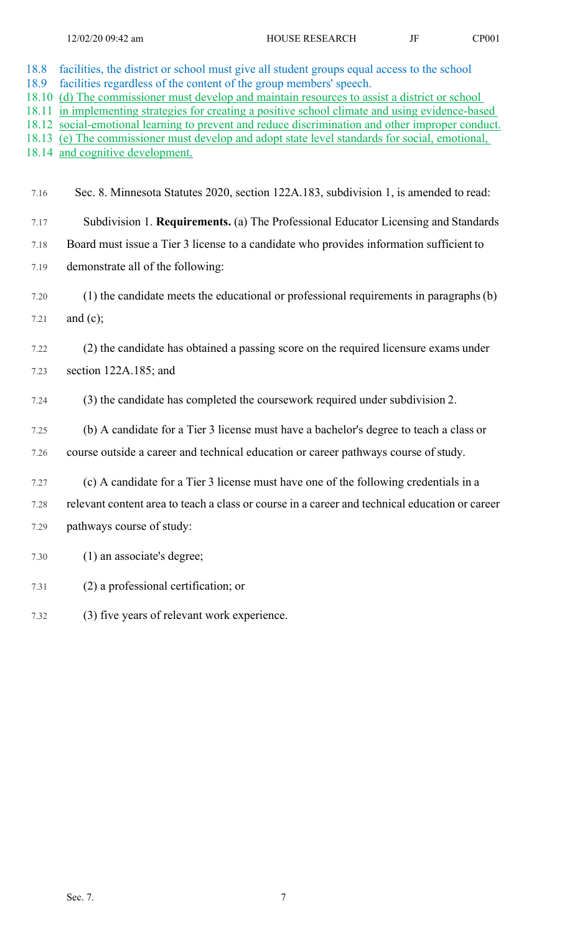| 18.8<br>18.9<br>18.10<br>18.11<br>18.12<br>18.13<br>18.14 | facilities, the district or school must give all student groups equal access to the school<br>facilities regardless of the content of the group members' speech.<br>(d) The commissioner must develop and maintain resources to assist a district or school<br>in implementing strategies for creating a positive school climate and using evidence-based<br>social-emotional learning to prevent and reduce discrimination and other improper conduct.<br>(e) The commissioner must develop and adopt state level standards for social, emotional,<br>and cognitive development. |
|-----------------------------------------------------------|-----------------------------------------------------------------------------------------------------------------------------------------------------------------------------------------------------------------------------------------------------------------------------------------------------------------------------------------------------------------------------------------------------------------------------------------------------------------------------------------------------------------------------------------------------------------------------------|
| 7.16                                                      | Sec. 8. Minnesota Statutes 2020, section 122A.183, subdivision 1, is amended to read:                                                                                                                                                                                                                                                                                                                                                                                                                                                                                             |
| 7.17                                                      | Subdivision 1. Requirements. (a) The Professional Educator Licensing and Standards                                                                                                                                                                                                                                                                                                                                                                                                                                                                                                |
| 7.18                                                      | Board must issue a Tier 3 license to a candidate who provides information sufficient to                                                                                                                                                                                                                                                                                                                                                                                                                                                                                           |
| 7.19                                                      | demonstrate all of the following:                                                                                                                                                                                                                                                                                                                                                                                                                                                                                                                                                 |
| 7.20                                                      | (1) the candidate meets the educational or professional requirements in paragraphs (b)                                                                                                                                                                                                                                                                                                                                                                                                                                                                                            |
| 7.21                                                      | and $(c)$ ;                                                                                                                                                                                                                                                                                                                                                                                                                                                                                                                                                                       |
| 7.22                                                      | (2) the candidate has obtained a passing score on the required licensure exams under                                                                                                                                                                                                                                                                                                                                                                                                                                                                                              |
| 7.23                                                      | section 122A.185; and                                                                                                                                                                                                                                                                                                                                                                                                                                                                                                                                                             |
| 7.24                                                      | (3) the candidate has completed the coursework required under subdivision 2.                                                                                                                                                                                                                                                                                                                                                                                                                                                                                                      |
| 7.25                                                      | (b) A candidate for a Tier 3 license must have a bachelor's degree to teach a class or                                                                                                                                                                                                                                                                                                                                                                                                                                                                                            |
| 7.26                                                      | course outside a career and technical education or career pathways course of study.                                                                                                                                                                                                                                                                                                                                                                                                                                                                                               |
| 7.27                                                      | (c) A candidate for a Tier 3 license must have one of the following credentials in a                                                                                                                                                                                                                                                                                                                                                                                                                                                                                              |
| 7.28                                                      | relevant content area to teach a class or course in a career and technical education or career                                                                                                                                                                                                                                                                                                                                                                                                                                                                                    |
| 7.29                                                      | pathways course of study:                                                                                                                                                                                                                                                                                                                                                                                                                                                                                                                                                         |
| 7.30                                                      | (1) an associate's degree;                                                                                                                                                                                                                                                                                                                                                                                                                                                                                                                                                        |
| 7.31                                                      | (2) a professional certification; or                                                                                                                                                                                                                                                                                                                                                                                                                                                                                                                                              |

7.32 (3) five years of relevant work experience.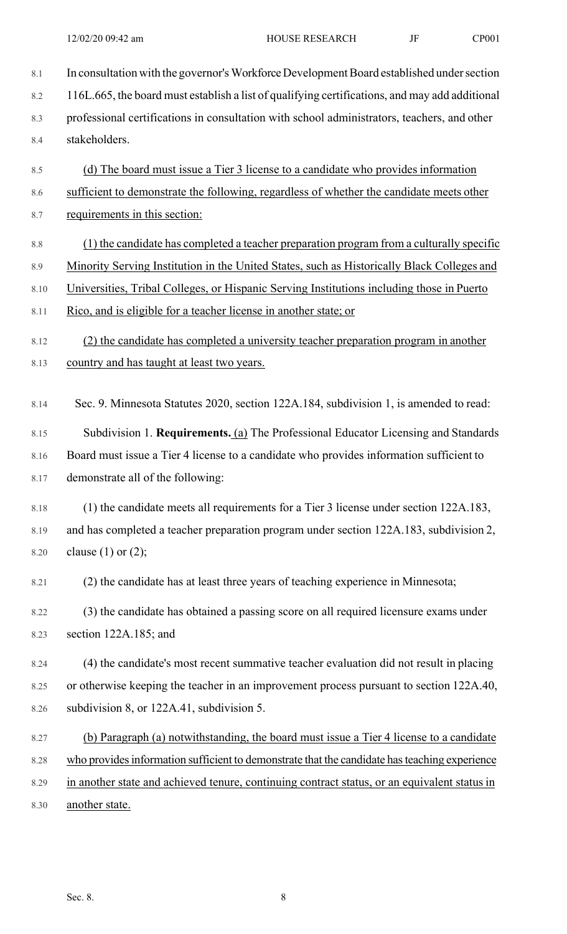- 8.1 In consultation with the governor's Workforce Development Board established under section 8.2 116L.665, the board must establish a list of qualifying certifications, and may add additional 8.3 professional certifications in consultation with school administrators, teachers, and other 8.4 stakeholders. 8.5 (d) The board must issue a Tier 3 license to a candidate who provides information 8.6 sufficient to demonstrate the following, regardless of whether the candidate meets other 8.7 requirements in this section: 8.8 (1) the candidate has completed a teacher preparation program from a culturally specific 8.9 Minority Serving Institution in the United States, such as Historically Black Colleges and 8.10 Universities, Tribal Colleges, or Hispanic Serving Institutions including those in Puerto 8.11 Rico, and is eligible for a teacher license in another state; or 8.12 (2) the candidate has completed a university teacher preparation program in another 8.13 country and has taught at least two years. 8.14 Sec. 9. Minnesota Statutes 2020, section 122A.184, subdivision 1, is amended to read: 8.15 Subdivision 1. **Requirements.** (a) The Professional Educator Licensing and Standards 8.16 Board must issue a Tier 4 license to a candidate who provides information sufficient to 8.17 demonstrate all of the following: 8.18 (1) the candidate meets all requirements for a Tier 3 license under section 122A.183, 8.19 and has completed a teacher preparation program under section 122A.183, subdivision 2, 8.20 clause (1) or (2); 8.21 (2) the candidate has at least three years of teaching experience in Minnesota; 8.22 (3) the candidate has obtained a passing score on all required licensure exams under 8.23 section 122A.185; and 8.24 (4) the candidate's most recent summative teacher evaluation did not result in placing 8.25 or otherwise keeping the teacher in an improvement process pursuant to section 122A.40, 8.26 subdivision 8, or 122A.41, subdivision 5. 8.27 (b) Paragraph (a) notwithstanding, the board must issue a Tier 4 license to a candidate 8.28 who provides information sufficient to demonstrate that the candidate has teaching experience
- 8.29 in another state and achieved tenure, continuing contract status, or an equivalent status in 8.30 another state.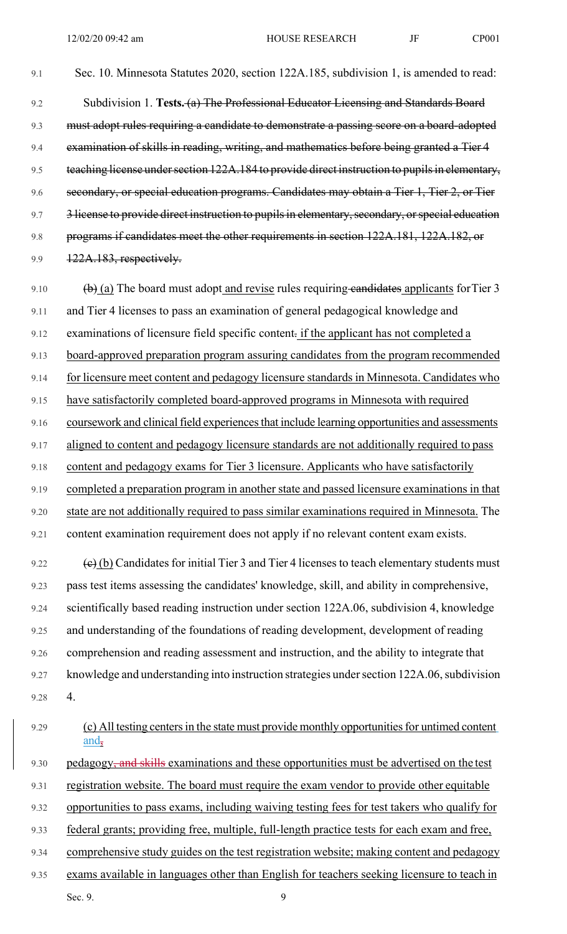9.1 Sec. 10. Minnesota Statutes 2020, section 122A.185, subdivision 1, is amended to read: 9.2 Subdivision 1. **Tests.** (a) The Professional Educator Licensing and Standards Board 9.3 must adopt rules requiring a candidate to demonstrate a passing score on a board-adopted 9.4 examination of skills in reading, writing, and mathematics before being granted a Tier 4 9.5 teaching license under section 122A.184 to provide direct instruction to pupils in elementary, 9.6 secondary, or special education programs. Candidates may obtain a Tier 1, Tier 2, or Tier 9.7 3 license to provide direct instruction to pupils in elementary, secondary, or special education 9.8 programs if candidates meet the other requirements in section 122A.181, 122A.182, or 9.9 122A.183, respectively.

9.10  $\left(\frac{b}{c}\right)$  (a) The board must adopt and revise rules requiring candidates applicants for Tier 3 9.11 and Tier 4 licenses to pass an examination of general pedagogical knowledge and 9.12 examinations of licensure field specific content. if the applicant has not completed a 9.13 board-approved preparation program assuring candidates from the program recommended 9.14 for licensure meet content and pedagogy licensure standards in Minnesota. Candidates who 9.15 have satisfactorily completed board-approved programs in Minnesota with required 9.16 coursework and clinical field experiences that include learning opportunities and assessments 9.17 aligned to content and pedagogy licensure standards are not additionally required to pass 9.18 content and pedagogy exams for Tier 3 licensure. Applicants who have satisfactorily 9.19 completed a preparation program in another state and passed licensure examinations in that 9.20 state are not additionally required to pass similar examinations required in Minnesota. The 9.21 content examination requirement does not apply if no relevant content exam exists. 9.22  $\left(\mathbf{e}\right)$  (b) Candidates for initial Tier 3 and Tier 4 licenses to teach elementary students must 9.23 pass test items assessing the candidates' knowledge, skill, and ability in comprehensive, 9.24 scientifically based reading instruction under section 122A.06, subdivision 4, knowledge 9.25 and understanding of the foundations of reading development, development of reading

9.26 comprehension and reading assessment and instruction, and the ability to integrate that 9.27 knowledge and understanding into instruction strategies under section 122A.06, subdivision 9.28 4.

- 9.31 registration website. The board must require the exam vendor to provide other equitable
- 9.32 opportunities to pass exams, including waiving testing fees for test takers who qualify for
- 9.33 federal grants; providing free, multiple, full-length practice tests for each exam and free,
- 9.34 comprehensive study guides on the test registration website; making content and pedagogy
- Sec. 9.  $\qquad \qquad \qquad$  9 9.35 exams available in languages other than English for teachers seeking licensure to teach in

<sup>9.29 (</sup>c) All testing centers in the state must provide monthly opportunities for untimed content and,

<sup>9.30</sup> pedagogy, and skills examinations and these opportunities must be advertised on the test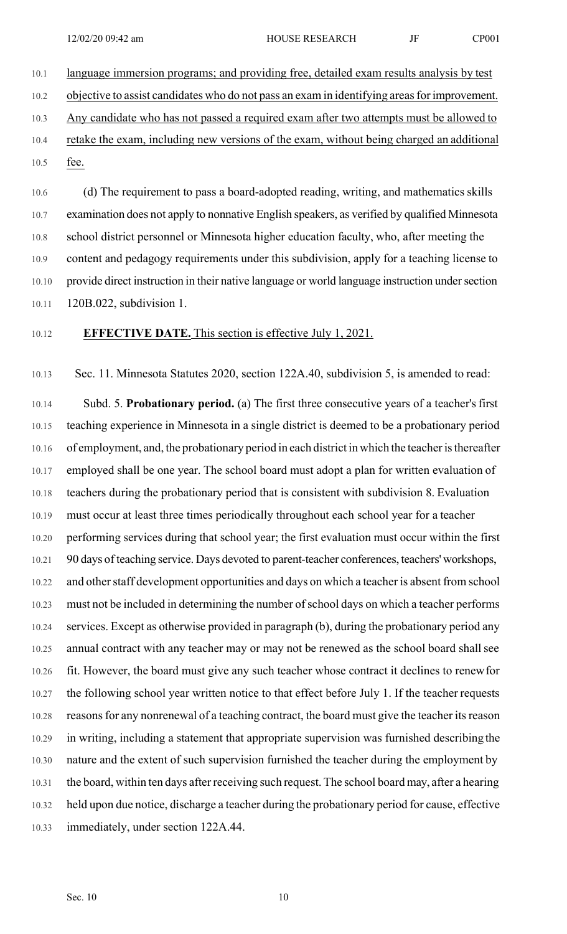10.1 language immersion programs; and providing free, detailed exam results analysis by test 10.2 objective to assist candidates who do not pass an exam in identifying areas for improvement. 10.3 Any candidate who has not passed a required exam after two attempts must be allowed to 10.4 retake the exam, including new versions of the exam, without being charged an additional 10.5 fee.

10.6 (d) The requirement to pass a board-adopted reading, writing, and mathematics skills 10.7 examination does not apply to nonnative English speakers, as verified by qualified Minnesota 10.8 school district personnel or Minnesota higher education faculty, who, after meeting the 10.9 content and pedagogy requirements under this subdivision, apply for a teaching license to 10.10 provide direct instruction in their native language or world language instruction under section 10.11 120B.022, subdivision 1.

#### 10.12 **EFFECTIVE DATE.** This section is effective July 1, 2021.

10.13 Sec. 11. Minnesota Statutes 2020, section 122A.40, subdivision 5, is amended to read:

10.14 Subd. 5. **Probationary period.** (a) The first three consecutive years of a teacher's first 10.15 teaching experience in Minnesota in a single district is deemed to be a probationary period 10.16 of employment, and, the probationary period in each district in which the teacher is thereafter 10.17 employed shall be one year. The school board must adopt a plan for written evaluation of 10.18 teachers during the probationary period that is consistent with subdivision 8. Evaluation 10.19 must occur at least three times periodically throughout each school year for a teacher 10.20 performing services during that school year; the first evaluation must occur within the first 10.21 90 days of teaching service. Days devoted to parent-teacher conferences, teachers' workshops, 10.22 and other staff development opportunities and days on which a teacher is absent from school 10.23 must not be included in determining the number of school days on which a teacher performs 10.24 services. Except as otherwise provided in paragraph (b), during the probationary period any 10.25 annual contract with any teacher may or may not be renewed as the school board shall see 10.26 fit. However, the board must give any such teacher whose contract it declines to renew for 10.27 the following school year written notice to that effect before July 1. If the teacher requests 10.28 reasons for any nonrenewal of a teaching contract, the board must give the teacher its reason 10.29 in writing, including a statement that appropriate supervision was furnished describing the 10.30 nature and the extent of such supervision furnished the teacher during the employment by 10.31 the board, within ten days after receiving such request. The school board may, after a hearing 10.32 held upon due notice, discharge a teacher during the probationary period for cause, effective 10.33 immediately, under section 122A.44.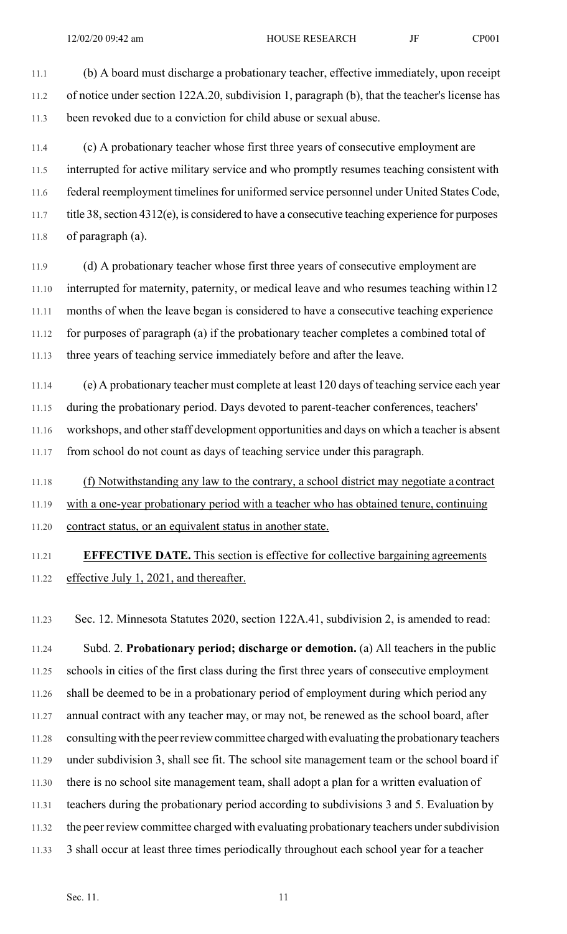11.1 (b) A board must discharge a probationary teacher, effective immediately, upon receipt 11.2 of notice under section 122A.20, subdivision 1, paragraph (b), that the teacher's license has 11.3 been revoked due to a conviction for child abuse or sexual abuse.

11.4 (c) A probationary teacher whose first three years of consecutive employment are 11.5 interrupted for active military service and who promptly resumes teaching consistent with 11.6 federal reemployment timelines for uniformed service personnel under United States Code, 11.7 title 38, section 4312(e), is considered to have a consecutive teaching experience for purposes 11.8 of paragraph (a).

11.9 (d) A probationary teacher whose first three years of consecutive employment are 11.10 interrupted for maternity, paternity, or medical leave and who resumes teaching within 12 11.11 months of when the leave began is considered to have a consecutive teaching experience 11.12 for purposes of paragraph (a) if the probationary teacher completes a combined total of 11.13 three years of teaching service immediately before and after the leave.

11.14 (e) A probationary teacher must complete at least 120 days of teaching service each year 11.15 during the probationary period. Days devoted to parent-teacher conferences, teachers' 11.16 workshops, and other staff development opportunities and days on which a teacher is absent 11.17 from school do not count as days of teaching service under this paragraph.

11.18 (f) Notwithstanding any law to the contrary, a school district may negotiate a contract 11.19 with a one-year probationary period with a teacher who has obtained tenure, continuing 11.20 contract status, or an equivalent status in another state.

# 11.21 **EFFECTIVE DATE.** This section is effective for collective bargaining agreements 11.22 effective July 1, 2021, and thereafter.

11.23 Sec. 12. Minnesota Statutes 2020, section 122A.41, subdivision 2, is amended to read:

11.24 Subd. 2. **Probationary period; discharge or demotion.** (a) All teachers in the public 11.25 schools in cities of the first class during the first three years of consecutive employment 11.26 shall be deemed to be in a probationary period of employment during which period any 11.27 annual contract with any teacher may, or may not, be renewed as the school board, after 11.28 consulting with the peer review committee charged with evaluating the probationary teachers 11.29 under subdivision 3, shall see fit. The school site management team or the school board if 11.30 there is no school site management team, shall adopt a plan for a written evaluation of 11.31 teachers during the probationary period according to subdivisions 3 and 5. Evaluation by 11.32 the peer review committee charged with evaluating probationary teachers under subdivision 11.33 3 shall occur at least three times periodically throughout each school year for a teacher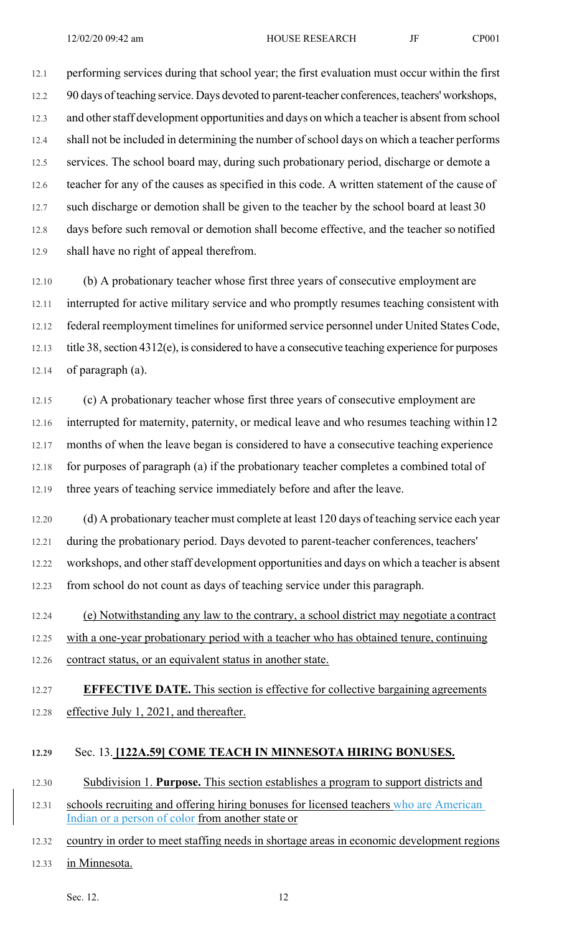12.1 performing services during that school year; the first evaluation must occur within the first 12.2 90 days of teaching service. Days devoted to parent-teacher conferences, teachers' workshops, 12.3 and other staff development opportunities and days on which a teacher is absent from school 12.4 shall not be included in determining the number of school days on which a teacher performs 12.5 services. The school board may, during such probationary period, discharge or demote a 12.6 teacher for any of the causes as specified in this code. A written statement of the cause of 12.7 such discharge or demotion shall be given to the teacher by the school board at least 30 12.8 days before such removal or demotion shall become effective, and the teacher so notified 12.9 shall have no right of appeal therefrom.

12.10 (b) A probationary teacher whose first three years of consecutive employment are 12.11 interrupted for active military service and who promptly resumes teaching consistent with 12.12 federal reemployment timelines for uniformed service personnel under United States Code, 12.13 title 38, section 4312(e), is considered to have a consecutive teaching experience for purposes 12.14 of paragraph (a).

12.15 (c) A probationary teacher whose first three years of consecutive employment are 12.16 interrupted for maternity, paternity, or medical leave and who resumes teaching within 12 12.17 months of when the leave began is considered to have a consecutive teaching experience 12.18 for purposes of paragraph (a) if the probationary teacher completes a combined total of 12.19 three years of teaching service immediately before and after the leave.

12.20 (d) A probationary teacher must complete at least 120 days of teaching service each year 12.21 during the probationary period. Days devoted to parent-teacher conferences, teachers' 12.22 workshops, and other staff development opportunities and days on which a teacher is absent 12.23 from school do not count as days of teaching service under this paragraph.

12.24 (e) Notwithstanding any law to the contrary, a school district may negotiate a contract 12.25 with a one-year probationary period with a teacher who has obtained tenure, continuing 12.26 contract status, or an equivalent status in another state.

12.27 **EFFECTIVE DATE.** This section is effective for collective bargaining agreements 12.28 effective July 1, 2021, and thereafter.

#### **12.29** Sec. 13. **[122A.59] COME TEACH IN MINNESOTA HIRING BONUSES.**

12.30 Subdivision 1. **Purpose.** This section establishes a program to support districts and

- 12.31 schools recruiting and offering hiring bonuses for licensed teachers who are American Indian or a person of color from another state or
- 12.32 country in order to meet staffing needs in shortage areas in economic development regions

12.33 in Minnesota.

Sec. 12. 12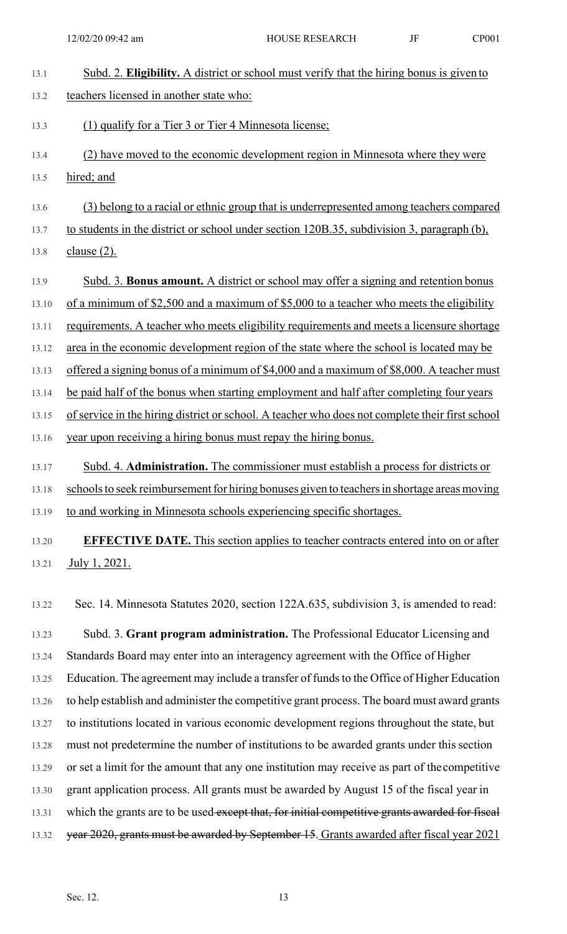| 13.1  | Subd. 2. Eligibility. A district or school must verify that the hiring bonus is given to        |
|-------|-------------------------------------------------------------------------------------------------|
| 13.2  | teachers licensed in another state who:                                                         |
| 13.3  | (1) qualify for a Tier 3 or Tier 4 Minnesota license;                                           |
| 13.4  | (2) have moved to the economic development region in Minnesota where they were                  |
| 13.5  | hired; and                                                                                      |
| 13.6  | (3) belong to a racial or ethnic group that is underrepresented among teachers compared         |
| 13.7  | to students in the district or school under section 120B.35, subdivision 3, paragraph (b),      |
| 13.8  | <u>clause (2).</u>                                                                              |
| 13.9  | Subd. 3. Bonus amount. A district or school may offer a signing and retention bonus             |
| 13.10 | of a minimum of \$2,500 and a maximum of \$5,000 to a teacher who meets the eligibility         |
| 13.11 | requirements. A teacher who meets eligibility requirements and meets a licensure shortage       |
| 13.12 | area in the economic development region of the state where the school is located may be         |
| 13.13 | offered a signing bonus of a minimum of \$4,000 and a maximum of \$8,000. A teacher must        |
| 13.14 | be paid half of the bonus when starting employment and half after completing four years         |
| 13.15 | of service in the hiring district or school. A teacher who does not complete their first school |
| 13.16 | year upon receiving a hiring bonus must repay the hiring bonus.                                 |
| 13.17 | Subd. 4. Administration. The commissioner must establish a process for districts or             |
| 13.18 | schools to seek reimbursement for hiring bonuses given to teachers in shortage areas moving     |
| 13.19 | to and working in Minnesota schools experiencing specific shortages.                            |
| 13.20 | <b>EFFECTIVE DATE.</b> This section applies to teacher contracts entered into on or after       |
| 13.21 | July 1, 2021.                                                                                   |
|       |                                                                                                 |
| 13.22 | Sec. 14. Minnesota Statutes 2020, section 122A.635, subdivision 3, is amended to read:          |
| 13.23 | Subd. 3. Grant program administration. The Professional Educator Licensing and                  |
| 13.24 | Standards Board may enter into an interagency agreement with the Office of Higher               |
| 13.25 | Education. The agreement may include a transfer of funds to the Office of Higher Education      |

13.26 to help establish and administer the competitive grant process. The board must award grants

- 13.27 to institutions located in various economic development regions throughout the state, but 13.28 must not predetermine the number of institutions to be awarded grants under this section
- 13.29 or set a limit for the amount that any one institution may receive as part of the competitive
- 13.30 grant application process. All grants must be awarded by August 15 of the fiscal year in
- 13.31 which the grants are to be used except that, for initial competitive grants awarded for fiscal
- 13.32 year 2020, grants must be awarded by September 15. Grants awarded after fiscal year 2021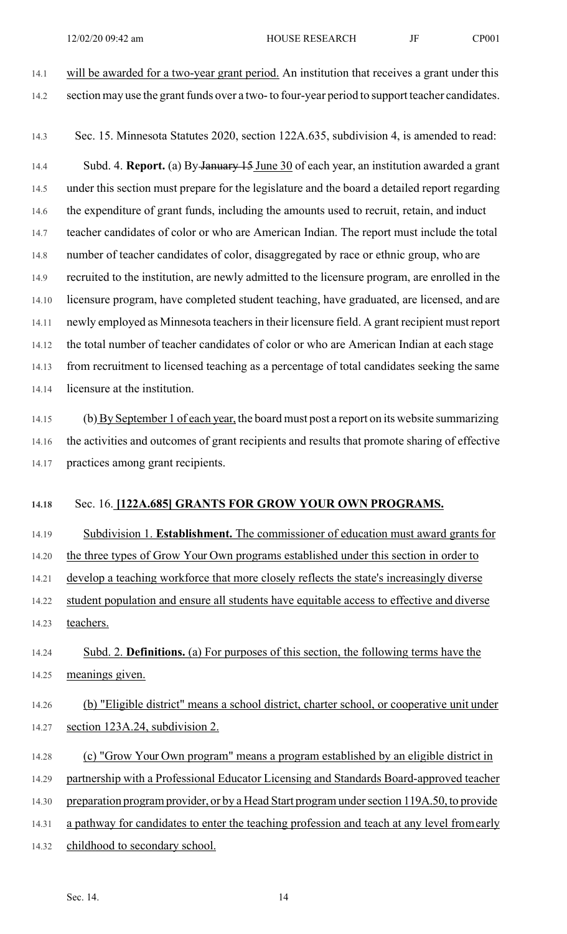- 14.1 will be awarded for a two-year grant period. An institution that receives a grant under this 14.2 section may use the grant funds over a two- to four-year period to support teacher candidates.
- 14.3 Sec. 15. Minnesota Statutes 2020, section 122A.635, subdivision 4, is amended to read:

14.4 Subd. 4. **Report.** (a) By January 15 June 30 of each year, an institution awarded a grant 14.5 under this section must prepare for the legislature and the board a detailed report regarding 14.6 the expenditure of grant funds, including the amounts used to recruit, retain, and induct 14.7 teacher candidates of color or who are American Indian. The report must include the total 14.8 number of teacher candidates of color, disaggregated by race or ethnic group, who are 14.9 recruited to the institution, are newly admitted to the licensure program, are enrolled in the 14.10 licensure program, have completed student teaching, have graduated, are licensed, and are 14.11 newly employed as Minnesota teachers in their licensure field. A grant recipient must report 14.12 the total number of teacher candidates of color or who are American Indian at each stage 14.13 from recruitment to licensed teaching as a percentage of total candidates seeking the same 14.14 licensure at the institution.

14.15 (b) By September 1 of each year, the board must post a report on its website summarizing 14.16 the activities and outcomes of grant recipients and results that promote sharing of effective 14.17 practices among grant recipients.

#### **14.18** Sec. 16. **[122A.685] GRANTS FOR GROW YOUR OWN PROGRAMS.**

14.19 Subdivision 1. **Establishment.** The commissioner of education must award grants for

14.20 the three types of Grow Your Own programs established under this section in order to

14.21 develop a teaching workforce that more closely reflects the state's increasingly diverse 14.22 student population and ensure all students have equitable access to effective and diverse

14.23 teachers.

14.24 Subd. 2. **Definitions.** (a) For purposes of this section, the following terms have the 14.25 meanings given.

- 14.26 (b) "Eligible district" means a school district, charter school, or cooperative unit under 14.27 section 123A.24, subdivision 2.
- 14.28 (c) "Grow Your Own program" means a program established by an eligible district in
- 14.29 partnership with a Professional Educator Licensing and Standards Board-approved teacher
- 14.30 preparation program provider, or by a Head Start program under section 119A.50, to provide
- 14.31 a pathway for candidates to enter the teaching profession and teach at any level from early
- 14.32 childhood to secondary school.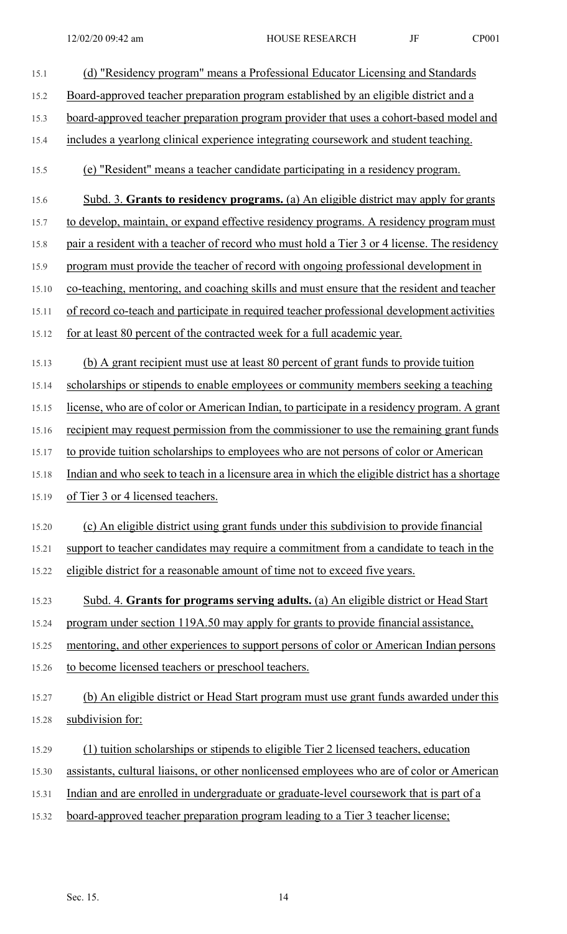| 15.1  | (d) "Residency program" means a Professional Educator Licensing and Standards                  |
|-------|------------------------------------------------------------------------------------------------|
| 15.2  | Board-approved teacher preparation program established by an eligible district and a           |
| 15.3  | <u>board-approved teacher preparation program provider that uses a cohort-based model and</u>  |
| 15.4  | includes a yearlong clinical experience integrating coursework and student teaching.           |
| 15.5  | (e) "Resident" means a teacher candidate participating in a residency program.                 |
| 15.6  | Subd. 3. Grants to residency programs. (a) An eligible district may apply for grants           |
| 15.7  | to develop, maintain, or expand effective residency programs. A residency program must         |
| 15.8  | pair a resident with a teacher of record who must hold a Tier 3 or 4 license. The residency    |
| 15.9  | program must provide the teacher of record with ongoing professional development in            |
| 15.10 | co-teaching, mentoring, and coaching skills and must ensure that the resident and teacher      |
| 15.11 | of record co-teach and participate in required teacher professional development activities     |
| 15.12 | for at least 80 percent of the contracted week for a full academic year.                       |
| 15.13 | (b) A grant recipient must use at least 80 percent of grant funds to provide tuition           |
| 15.14 | scholarships or stipends to enable employees or community members seeking a teaching           |
| 15.15 | license, who are of color or American Indian, to participate in a residency program. A grant   |
| 15.16 | recipient may request permission from the commissioner to use the remaining grant funds        |
| 15.17 | to provide tuition scholarships to employees who are not persons of color or American          |
| 15.18 | Indian and who seek to teach in a licensure area in which the eligible district has a shortage |
| 15.19 | of Tier 3 or 4 licensed teachers.                                                              |
| 15.20 | (c) An eligible district using grant funds under this subdivision to provide financial         |
| 15.21 | support to teacher candidates may require a commitment from a candidate to teach in the        |
| 15.22 | eligible district for a reasonable amount of time not to exceed five years.                    |
| 15.23 | Subd. 4. Grants for programs serving adults. (a) An eligible district or Head Start            |
| 15.24 | program under section 119A.50 may apply for grants to provide financial assistance,            |
| 15.25 | mentoring, and other experiences to support persons of color or American Indian persons        |
| 15.26 | to become licensed teachers or preschool teachers.                                             |
| 15.27 | (b) An eligible district or Head Start program must use grant funds awarded under this         |
| 15.28 | subdivision for:                                                                               |
| 15.29 | (1) tuition scholarships or stipends to eligible Tier 2 licensed teachers, education           |
| 15.30 | assistants, cultural liaisons, or other nonlicensed employees who are of color or American     |
| 15.31 | Indian and are enrolled in undergraduate or graduate-level coursework that is part of a        |
| 15.32 | board-approved teacher preparation program leading to a Tier 3 teacher license;                |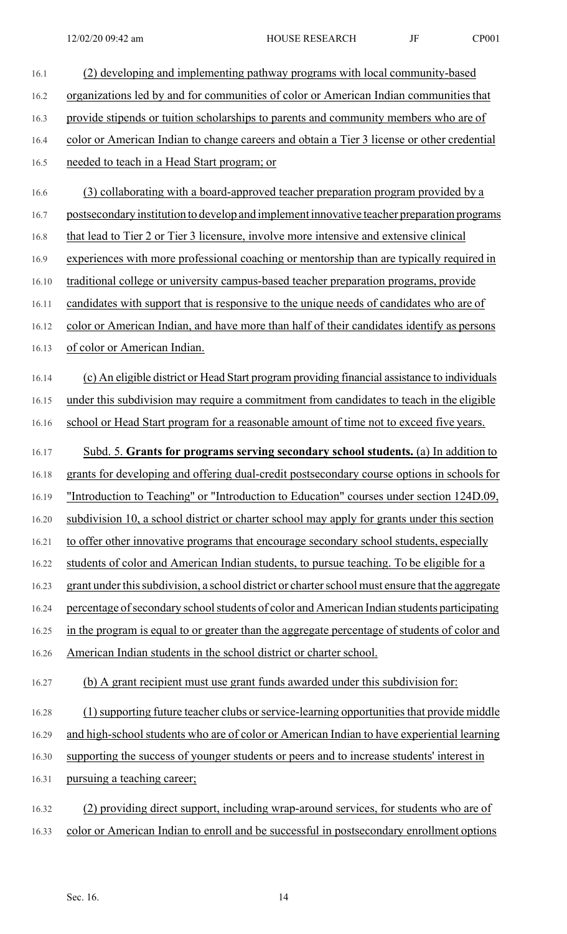| 16.1  | (2) developing and implementing pathway programs with local community-based                      |
|-------|--------------------------------------------------------------------------------------------------|
| 16.2  | organizations led by and for communities of color or American Indian communities that            |
| 16.3  | provide stipends or tuition scholarships to parents and community members who are of             |
| 16.4  | color or American Indian to change careers and obtain a Tier 3 license or other credential       |
| 16.5  | needed to teach in a Head Start program; or                                                      |
| 16.6  | (3) collaborating with a board-approved teacher preparation program provided by a                |
| 16.7  | postsecondary institution to develop and implement innovative teacher preparation programs       |
| 16.8  | that lead to Tier 2 or Tier 3 licensure, involve more intensive and extensive clinical           |
| 16.9  | experiences with more professional coaching or mentorship than are typically required in         |
| 16.10 | traditional college or university campus-based teacher preparation programs, provide             |
| 16.11 | candidates with support that is responsive to the unique needs of candidates who are of          |
| 16.12 | color or American Indian, and have more than half of their candidates identify as persons        |
| 16.13 | of color or American Indian.                                                                     |
| 16.14 | (c) An eligible district or Head Start program providing financial assistance to individuals     |
| 16.15 | under this subdivision may require a commitment from candidates to teach in the eligible         |
| 16.16 | school or Head Start program for a reasonable amount of time not to exceed five years.           |
| 16.17 | Subd. 5. Grants for programs serving secondary school students. (a) In addition to               |
| 16.18 | grants for developing and offering dual-credit postsecondary course options in schools for       |
| 16.19 | "Introduction to Teaching" or "Introduction to Education" courses under section 124D.09,         |
| 16.20 | subdivision 10, a school district or charter school may apply for grants under this section      |
| 16.21 | to offer other innovative programs that encourage secondary school students, especially          |
| 16.22 | students of color and American Indian students, to pursue teaching. To be eligible for a         |
| 16.23 | grant under this subdivision, a school district or charter school must ensure that the aggregate |
| 16.24 | percentage of secondary school students of color and American Indian students participating      |
| 16.25 | in the program is equal to or greater than the aggregate percentage of students of color and     |
| 16.26 | American Indian students in the school district or charter school.                               |
| 16.27 | (b) A grant recipient must use grant funds awarded under this subdivision for:                   |
| 16.28 | (1) supporting future teacher clubs or service-learning opportunities that provide middle        |
| 16.29 | and high-school students who are of color or American Indian to have experiential learning       |
| 16.30 | supporting the success of younger students or peers and to increase students' interest in        |
| 16.31 | pursuing a teaching career;                                                                      |
| 16.32 | (2) providing direct support, including wrap-around services, for students who are of            |
| 16.33 | color or American Indian to enroll and be successful in postsecondary enrollment options         |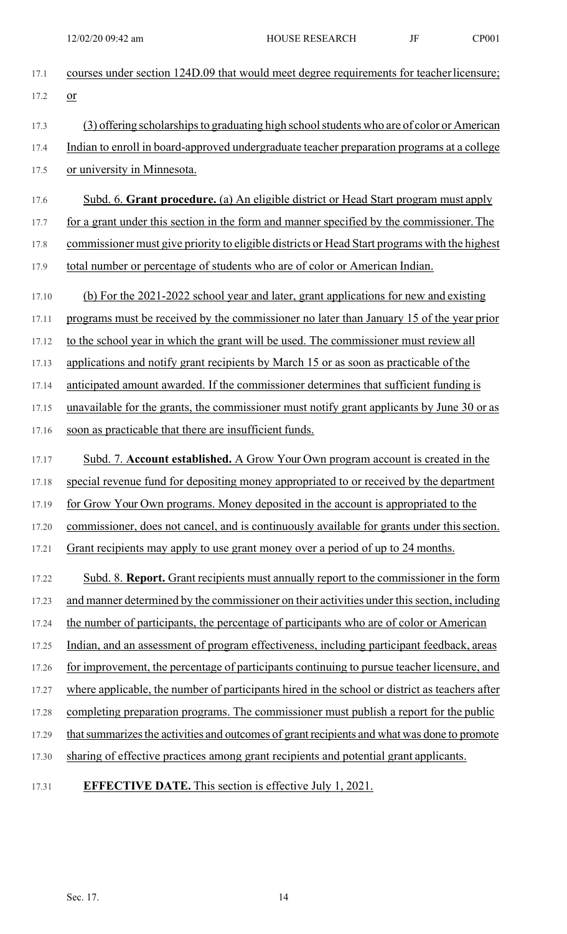| 17.1  | courses under section 124D.09 that would meet degree requirements for teacher licensure;       |
|-------|------------------------------------------------------------------------------------------------|
| 17.2  | $or$                                                                                           |
| 17.3  | (3) offering scholarships to graduating high school students who are of color or American      |
| 17.4  | Indian to enroll in board-approved undergraduate teacher preparation programs at a college     |
| 17.5  | or university in Minnesota.                                                                    |
| 17.6  | Subd. 6. Grant procedure. (a) An eligible district or Head Start program must apply            |
| 17.7  | for a grant under this section in the form and manner specified by the commissioner. The       |
| 17.8  | commissioner must give priority to eligible districts or Head Start programs with the highest  |
| 17.9  | total number or percentage of students who are of color or American Indian.                    |
| 17.10 | (b) For the 2021-2022 school year and later, grant applications for new and existing           |
| 17.11 | programs must be received by the commissioner no later than January 15 of the year prior       |
| 17.12 | to the school year in which the grant will be used. The commissioner must review all           |
| 17.13 | applications and notify grant recipients by March 15 or as soon as practicable of the          |
| 17.14 | anticipated amount awarded. If the commissioner determines that sufficient funding is          |
| 17.15 | unavailable for the grants, the commissioner must notify grant applicants by June 30 or as     |
| 17.16 | soon as practicable that there are insufficient funds.                                         |
| 17.17 | Subd. 7. Account established. A Grow Your Own program account is created in the                |
| 17.18 | special revenue fund for depositing money appropriated to or received by the department        |
| 17.19 | for Grow Your Own programs. Money deposited in the account is appropriated to the              |
| 17.20 | commissioner, does not cancel, and is continuously available for grants under this section.    |
| 17.21 | Grant recipients may apply to use grant money over a period of up to 24 months.                |
| 17.22 | Subd. 8. Report. Grant recipients must annually report to the commissioner in the form         |
| 17.23 | and manner determined by the commissioner on their activities under this section, including    |
| 17.24 | the number of participants, the percentage of participants who are of color or American        |
| 17.25 | Indian, and an assessment of program effectiveness, including participant feedback, areas      |
| 17.26 | for improvement, the percentage of participants continuing to pursue teacher licensure, and    |
| 17.27 | where applicable, the number of participants hired in the school or district as teachers after |
| 17.28 | completing preparation programs. The commissioner must publish a report for the public         |
| 17.29 | that summarizes the activities and outcomes of grant recipients and what was done to promote   |
| 17.30 | sharing of effective practices among grant recipients and potential grant applicants.          |
| 17.31 | <b>EFFECTIVE DATE.</b> This section is effective July 1, 2021.                                 |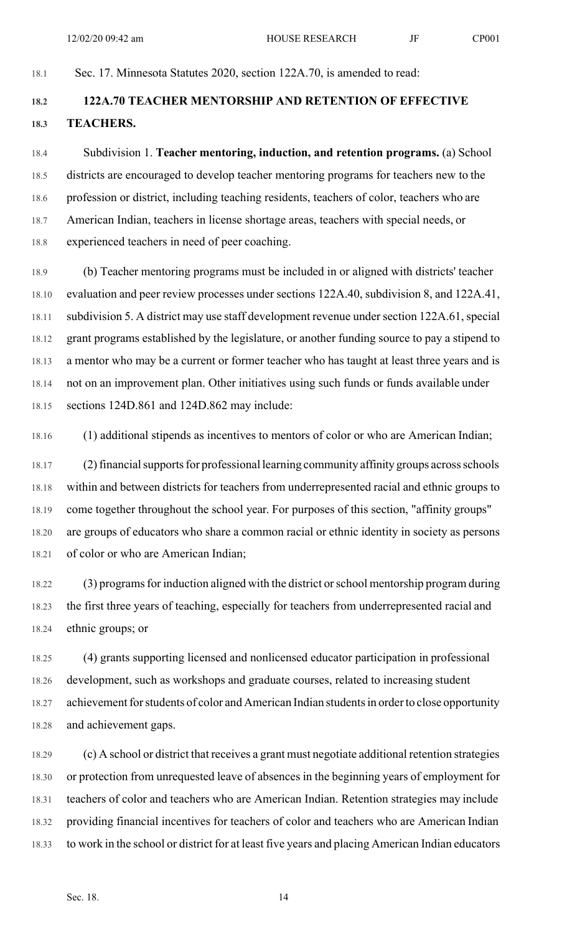#### 18.1 Sec. 17. Minnesota Statutes 2020, section 122A.70, is amended to read:

# **18.2 122A.70 TEACHER MENTORSHIP AND RETENTION OF EFFECTIVE 18.3 TEACHERS.**

18.4 Subdivision 1. **Teacher mentoring, induction, and retention programs.** (a) School 18.5 districts are encouraged to develop teacher mentoring programs for teachers new to the 18.6 profession or district, including teaching residents, teachers of color, teachers who are 18.7 American Indian, teachers in license shortage areas, teachers with special needs, or 18.8 experienced teachers in need of peer coaching.

18.9 (b) Teacher mentoring programs must be included in or aligned with districts' teacher 18.10 evaluation and peer review processes under sections 122A.40, subdivision 8, and 122A.41, 18.11 subdivision 5. A district may use staff development revenue under section 122A.61, special 18.12 grant programs established by the legislature, or another funding source to pay a stipend to 18.13 a mentor who may be a current or former teacher who has taught at least three years and is 18.14 not on an improvement plan. Other initiatives using such funds or funds available under 18.15 sections 124D.861 and 124D.862 may include:

18.16 (1) additional stipends as incentives to mentors of color or who are American Indian;

18.17 (2) financial supports for professional learning community affinity groups across schools 18.18 within and between districts for teachers from underrepresented racial and ethnic groups to 18.19 come together throughout the school year. For purposes of this section, "affinity groups" 18.20 are groups of educators who share a common racial or ethnic identity in society as persons 18.21 of color or who are American Indian;

18.22 (3) programs for induction aligned with the district or school mentorship program during 18.23 the first three years of teaching, especially for teachers from underrepresented racial and 18.24 ethnic groups; or

18.25 (4) grants supporting licensed and nonlicensed educator participation in professional 18.26 development, such as workshops and graduate courses, related to increasing student 18.27 achievement for students of color and American Indian students in order to close opportunity 18.28 and achievement gaps.

18.29 (c) A school or district that receives a grant must negotiate additional retention strategies 18.30 or protection from unrequested leave of absences in the beginning years of employment for 18.31 teachers of color and teachers who are American Indian. Retention strategies may include 18.32 providing financial incentives for teachers of color and teachers who are American Indian 18.33 to work in the school or district for at least five years and placing American Indian educators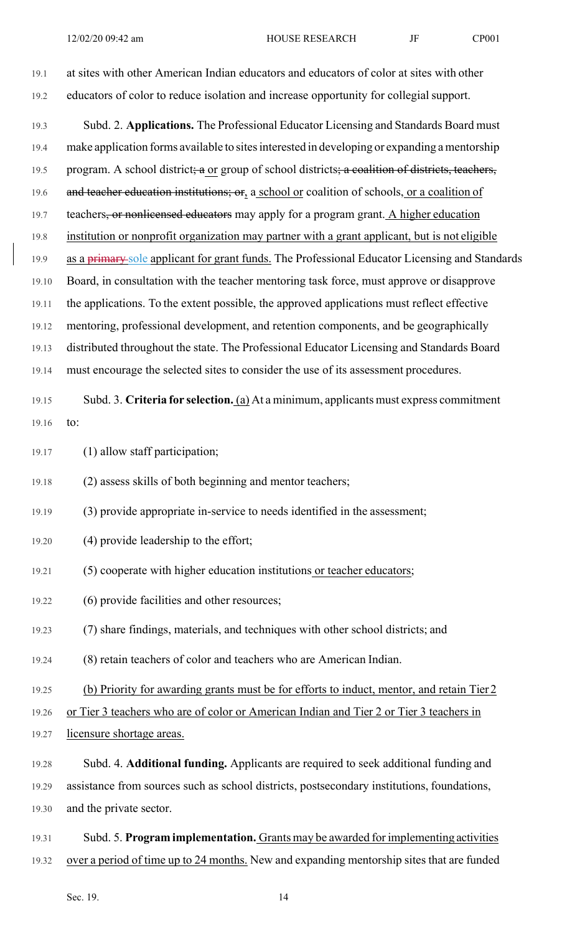| 19.1  | at sites with other American Indian educators and educators of color at sites with other        |
|-------|-------------------------------------------------------------------------------------------------|
| 19.2  | educators of color to reduce isolation and increase opportunity for collegial support.          |
| 19.3  | Subd. 2. Applications. The Professional Educator Licensing and Standards Board must             |
| 19.4  | make application forms available to sites interested in developing or expanding a mentorship    |
| 19.5  | program. A school district; a or group of school districts; a coalition of districts, teachers, |
| 19.6  | and teacher education institutions; or, a school or coalition of schools, or a coalition of     |
| 19.7  | teachers, or nonlicensed educators may apply for a program grant. A higher education            |
| 19.8  | institution or nonprofit organization may partner with a grant applicant, but is not eligible   |
| 19.9  | as a primary sole applicant for grant funds. The Professional Educator Licensing and Standards  |
| 19.10 | Board, in consultation with the teacher mentoring task force, must approve or disapprove        |
| 19.11 | the applications. To the extent possible, the approved applications must reflect effective      |
| 19.12 | mentoring, professional development, and retention components, and be geographically            |
| 19.13 | distributed throughout the state. The Professional Educator Licensing and Standards Board       |
| 19.14 | must encourage the selected sites to consider the use of its assessment procedures.             |
| 19.15 | Subd. 3. Criteria for selection. (a) At a minimum, applicants must express commitment           |
| 19.16 | to:                                                                                             |
| 19.17 | (1) allow staff participation;                                                                  |
| 19.18 | (2) assess skills of both beginning and mentor teachers;                                        |
| 19.19 | (3) provide appropriate in-service to needs identified in the assessment;                       |
| 19.20 | (4) provide leadership to the effort;                                                           |
| 19.21 | (5) cooperate with higher education institutions or teacher educators;                          |
| 19.22 | (6) provide facilities and other resources;                                                     |
| 19.23 | (7) share findings, materials, and techniques with other school districts; and                  |
| 19.24 | (8) retain teachers of color and teachers who are American Indian.                              |
| 19.25 | (b) Priority for awarding grants must be for efforts to induct, mentor, and retain Tier 2       |
| 19.26 | or Tier 3 teachers who are of color or American Indian and Tier 2 or Tier 3 teachers in         |
| 19.27 | licensure shortage areas.                                                                       |
| 19.28 | Subd. 4. Additional funding. Applicants are required to seek additional funding and             |
| 19.29 | assistance from sources such as school districts, postsecondary institutions, foundations,      |
| 19.30 | and the private sector.                                                                         |
| 19.31 | Subd. 5. Program implementation. Grants may be awarded for implementing activities              |
| 19.32 | over a period of time up to 24 months. New and expanding mentorship sites that are funded       |

Sec. 19. 14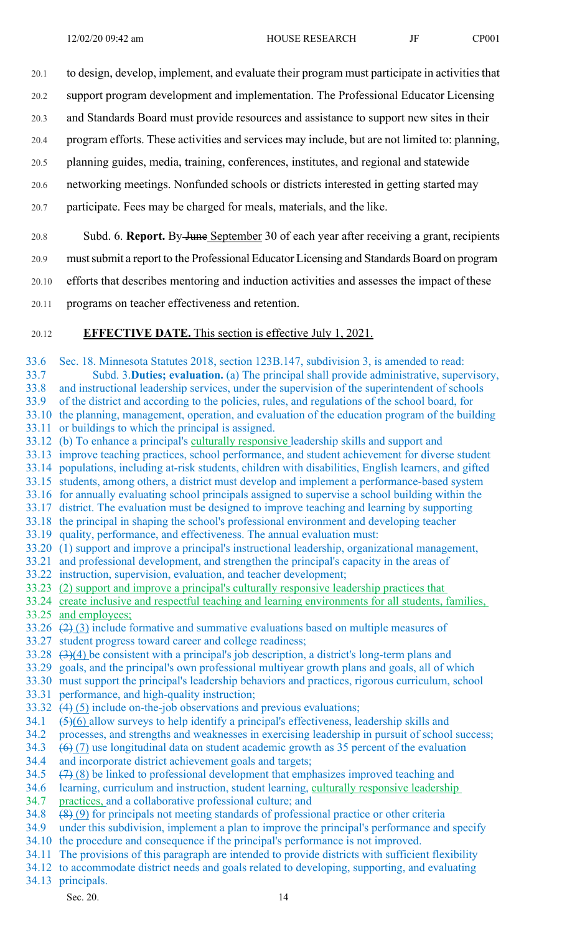- 20.1 to design, develop, implement, and evaluate their program must participate in activities that
- 20.2 support program development and implementation. The Professional Educator Licensing
- 20.3 and Standards Board must provide resources and assistance to support new sites in their
- 20.4 program efforts. These activities and services may include, but are not limited to: planning,
- 20.5 planning guides, media, training, conferences, institutes, and regional and statewide
- 20.6 networking meetings. Nonfunded schools or districts interested in getting started may
- 20.7 participate. Fees may be charged for meals, materials, and the like.

#### 20.8 Subd. 6. **Report.** By June September 30 of each year after receiving a grant, recipients

- 20.9 must submit a report to the Professional Educator Licensing and Standards Board on program
- 20.10 efforts that describes mentoring and induction activities and assesses the impact of these
- 20.11 programs on teacher effectiveness and retention.

### 20.12 **EFFECTIVE DATE.** This section is effective July 1, 2021.

33.6 Sec. 18. Minnesota Statutes 2018, section 123B.147, subdivision 3, is amended to read: 33.7 Subd. 3.**Duties; evaluation.** (a) The principal shall provide administrative, supervisory, 33.8 and instructional leadership services, under the supervision of the superintendent of schools 33.9 of the district and according to the policies, rules, and regulations of the school board, for 33.10 the planning, management, operation, and evaluation of the education program of the building 33.11 or buildings to which the principal is assigned. 33.12 (b) To enhance a principal's culturally responsive leadership skills and support and 33.13 improve teaching practices, school performance, and student achievement for diverse student

- 33.14 populations, including at-risk students, children with disabilities, English learners, and gifted
- 33.15 students, among others, a district must develop and implement a performance-based system
- 33.16 for annually evaluating school principals assigned to supervise a school building within the 33.17 district. The evaluation must be designed to improve teaching and learning by supporting
- 33.18 the principal in shaping the school's professional environment and developing teacher
- 33.19 quality, performance, and effectiveness. The annual evaluation must:
- 33.20 (1) support and improve a principal's instructional leadership, organizational management,
- 33.21 and professional development, and strengthen the principal's capacity in the areas of
- 33.22 instruction, supervision, evaluation, and teacher development;
- 33.23 (2) support and improve a principal's culturally responsive leadership practices that
- 33.24 create inclusive and respectful teaching and learning environments for all students, families, 33.25 and employees;
- 33.26  $(2)(3)$  include formative and summative evaluations based on multiple measures of
- 33.27 student progress toward career and college readiness;
- 33.28 (3)(4) be consistent with a principal's job description, a district's long-term plans and
- 33.29 goals, and the principal's own professional multiyear growth plans and goals, all of which
- 33.30 must support the principal's leadership behaviors and practices, rigorous curriculum, school
- 33.31 performance, and high-quality instruction;
- 33.32  $(4)$  (5) include on-the-job observations and previous evaluations;
- 34.1  $(5)(6)$  allow surveys to help identify a principal's effectiveness, leadership skills and
- 34.2 processes, and strengths and weaknesses in exercising leadership in pursuit of school success;
- 34.3  $(6)$  (7) use longitudinal data on student academic growth as 35 percent of the evaluation
- 34.4 and incorporate district achievement goals and targets;
- 34.5  $(7)(8)$  be linked to professional development that emphasizes improved teaching and
- 34.6 learning, curriculum and instruction, student learning, culturally responsive leadership
- 34.7 practices, and a collaborative professional culture; and
- 34.8 (8) (9) for principals not meeting standards of professional practice or other criteria
- 34.9 under this subdivision, implement a plan to improve the principal's performance and specify 34.10 the procedure and consequence if the principal's performance is not improved.
- 34.11 The provisions of this paragraph are intended to provide districts with sufficient flexibility
- 34.12 to accommodate district needs and goals related to developing, supporting, and evaluating
- 34.13 principals.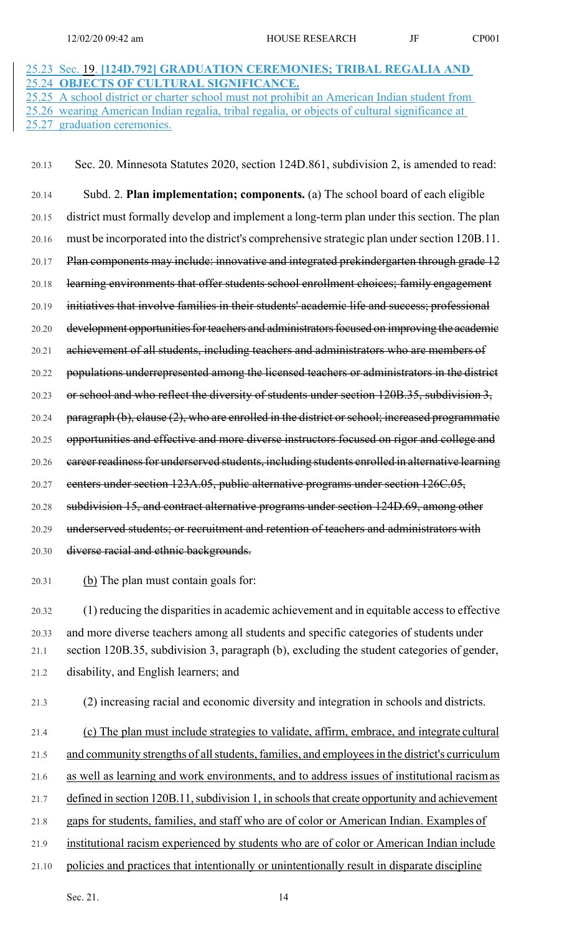# 25.23 Sec. 19. **[124D.792] GRADUATION CEREMONIES; TRIBAL REGALIA AND**  25.24 **OBJECTS OF CULTURAL SIGNIFICANCE.**  25.25 A school district or charter school must not prohibit an American Indian student from

25.26 wearing American Indian regalia, tribal regalia, or objects of cultural significance at 25.27 graduation ceremonies.

20.13 Sec. 20. Minnesota Statutes 2020, section 124D.861, subdivision 2, is amended to read:

20.14 Subd. 2. **Plan implementation; components.** (a) The school board of each eligible 20.15 district must formally develop and implement a long-term plan under this section. The plan 20.16 must be incorporated into the district's comprehensive strategic plan under section 120B.11. 20.17 Plan components may include: innovative and integrated prekindergarten through grade 12 20.18 learning environments that offer students school enrollment choices; family engagement 20.19 initiatives that involve families in their students' academic life and success; professional 20.20 development opportunities for teachers and administrators focused on improving the academic 20.21 achievement of all students, including teachers and administrators who are members of 20.22 populations underrepresented among the licensed teachers or administrators in the district 20.23 or school and who reflect the diversity of students under section 120B.35, subdivision 3, 20.24 paragraph (b), clause (2), who are enrolled in the district or school; increased programmatic 20.25 opportunities and effective and more diverse instructors focused on rigor and college and 20.26 career readiness for underserved students, including students enrolled in alternative learning 20.27 centers under section 123A.05, public alternative programs under section 126C.05, 20.28 subdivision 15, and contract alternative programs under section 124D.69, among other 20.29 underserved students; or recruitment and retention of teachers and administrators with 20.30 diverse racial and ethnic backgrounds.

20.31 (b) The plan must contain goals for:

20.32 (1) reducing the disparities in academic achievement and in equitable access to effective 20.33 and more diverse teachers among all students and specific categories of students under 21.1 section 120B.35, subdivision 3, paragraph (b), excluding the student categories of gender, 21.2 disability, and English learners; and

21.3 (2) increasing racial and economic diversity and integration in schools and districts.

21.4 (c) The plan must include strategies to validate, affirm, embrace, and integrate cultural

21.5 and community strengths of all students, families, and employees in the district's curriculum

21.6 as well as learning and work environments, and to address issues of institutional racism as

21.7 defined in section 120B.11, subdivision 1, in schools that create opportunity and achievement

21.8 gaps for students, families, and staff who are of color or American Indian. Examples of

21.9 institutional racism experienced by students who are of color or American Indian include

21.10 policies and practices that intentionally or unintentionally result in disparate discipline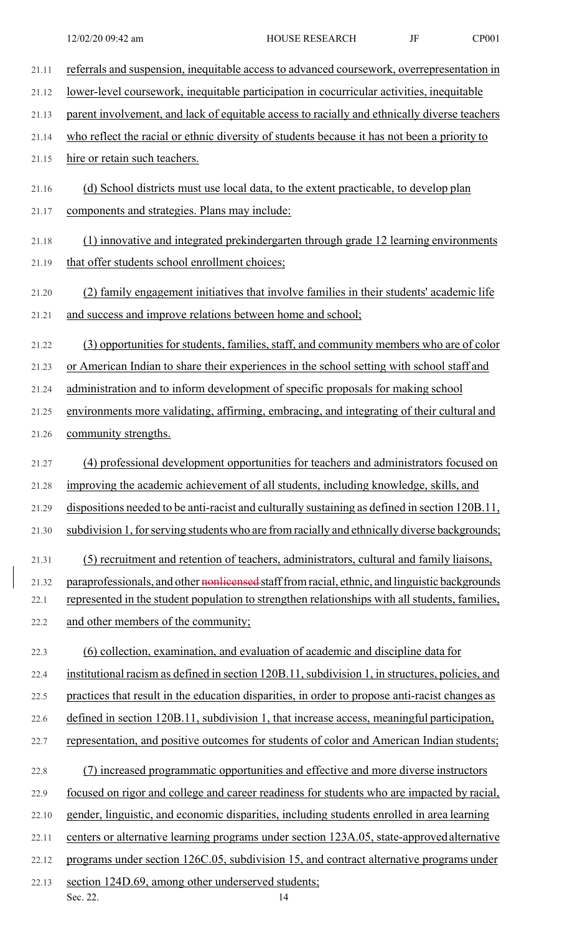| 21.11         | referrals and suspension, inequitable access to advanced coursework, overrepresentation in                                                                                                       |
|---------------|--------------------------------------------------------------------------------------------------------------------------------------------------------------------------------------------------|
| 21.12         | lower-level coursework, inequitable participation in cocurricular activities, inequitable                                                                                                        |
| 21.13         | parent involvement, and lack of equitable access to racially and ethnically diverse teachers                                                                                                     |
| 21.14         | who reflect the racial or ethnic diversity of students because it has not been a priority to                                                                                                     |
| 21.15         | hire or retain such teachers.                                                                                                                                                                    |
| 21.16         | (d) School districts must use local data, to the extent practicable, to develop plan                                                                                                             |
| 21.17         | components and strategies. Plans may include:                                                                                                                                                    |
| 21.18         | (1) innovative and integrated prekindergarten through grade 12 learning environments                                                                                                             |
| 21.19         | that offer students school enrollment choices;                                                                                                                                                   |
| 21.20         | (2) family engagement initiatives that involve families in their students' academic life                                                                                                         |
| 21.21         | and success and improve relations between home and school;                                                                                                                                       |
| 21.22         | (3) opportunities for students, families, staff, and community members who are of color                                                                                                          |
| 21.23         | or American Indian to share their experiences in the school setting with school staff and                                                                                                        |
| 21.24         | administration and to inform development of specific proposals for making school                                                                                                                 |
| 21.25         | environments more validating, affirming, embracing, and integrating of their cultural and                                                                                                        |
| 21.26         | community strengths.                                                                                                                                                                             |
| 21.27         | (4) professional development opportunities for teachers and administrators focused on                                                                                                            |
| 21.28         | improving the academic achievement of all students, including knowledge, skills, and                                                                                                             |
| 21.29         | dispositions needed to be anti-racist and culturally sustaining as defined in section 120B.11,                                                                                                   |
| 21.30         | subdivision 1, for serving students who are from racially and ethnically diverse backgrounds;                                                                                                    |
| 21.31         | (5) recruitment and retention of teachers, administrators, cultural and family liaisons,                                                                                                         |
| 21.32<br>22.1 | paraprofessionals, and other nonlicensed staff from racial, ethnic, and linguistic backgrounds<br>represented in the student population to strengthen relationships with all students, families, |
|               | and other members of the community;                                                                                                                                                              |
| 22.2          |                                                                                                                                                                                                  |
| 22.3          | (6) collection, examination, and evaluation of academic and discipline data for                                                                                                                  |
| 22.4          | institutional racism as defined in section 120B.11, subdivision 1, in structures, policies, and                                                                                                  |
| 22.5          | practices that result in the education disparities, in order to propose anti-racist changes as                                                                                                   |
| 22.6          | defined in section 120B.11, subdivision 1, that increase access, meaningful participation,                                                                                                       |
| 22.7          | representation, and positive outcomes for students of color and American Indian students;                                                                                                        |
| 22.8          | (7) increased programmatic opportunities and effective and more diverse instructors                                                                                                              |
| 22.9          | focused on rigor and college and career readiness for students who are impacted by racial,                                                                                                       |
| 22.10         | gender, linguistic, and economic disparities, including students enrolled in area learning                                                                                                       |
| 22.11         | centers or alternative learning programs under section 123A.05, state-approved alternative                                                                                                       |
| 22.12         | programs under section 126C.05, subdivision 15, and contract alternative programs under                                                                                                          |
| 22.13         | section 124D.69, among other underserved students;<br>Sec. 22.<br>14                                                                                                                             |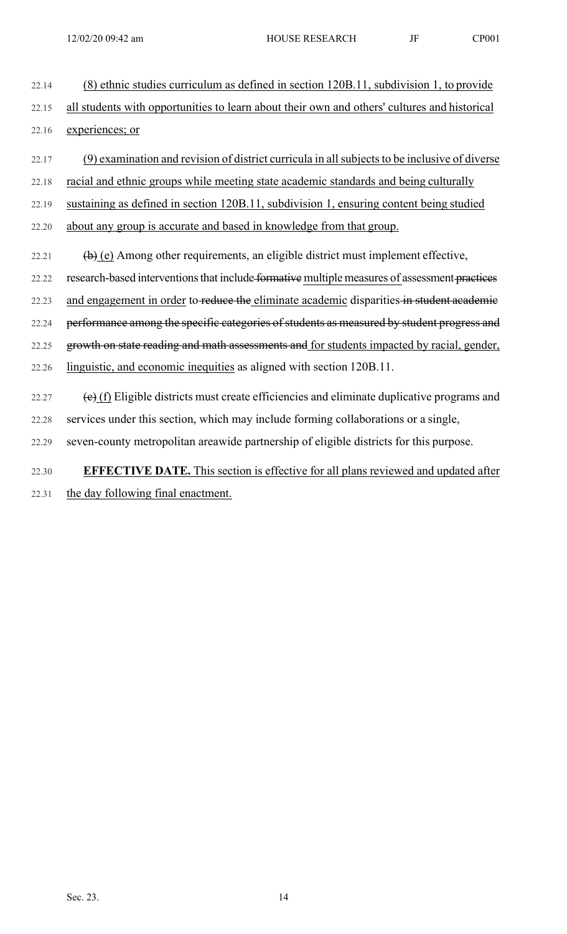22.14 (8) ethnic studies curriculum as defined in section 120B.11, subdivision 1, to provide 22.15 all students with opportunities to learn about their own and others' cultures and historical 22.16 experiences; or

22.17 (9) examination and revision of district curricula in all subjects to be inclusive of diverse 22.18 racial and ethnic groups while meeting state academic standards and being culturally 22.19 sustaining as defined in section 120B.11, subdivision 1, ensuring content being studied 22.20 about any group is accurate and based in knowledge from that group.

22.21  $\left(\frac{b}{c}\right)$  Among other requirements, an eligible district must implement effective, 22.22 research-based interventions that include formative multiple measures of assessment practices 22.23 and engagement in order to reduce the eliminate academic disparities in student academic 22.24 performance among the specific categories of students as measured by student progress and 22.25 growth on state reading and math assessments and for students impacted by racial, gender, 22.26 linguistic, and economic inequities as aligned with section 120B.11.

- 22.27  $\left(\frac{e}{f}\right)$  Eligible districts must create efficiencies and eliminate duplicative programs and 22.28 services under this section, which may include forming collaborations or a single,
- 22.29 seven-county metropolitan areawide partnership of eligible districts for this purpose.
- 22.30 **EFFECTIVE DATE.** This section is effective for all plans reviewed and updated after
- 22.31 the day following final enactment.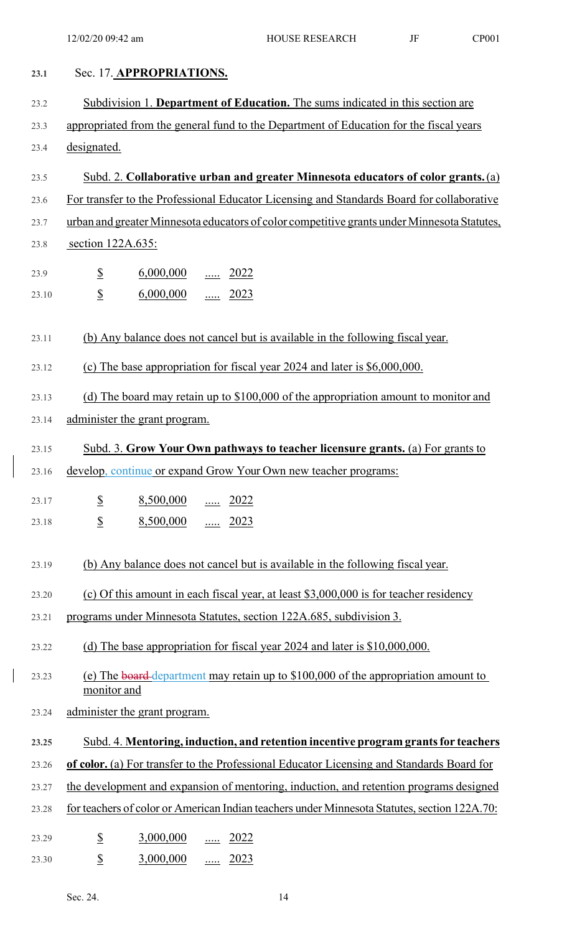| 23.1  | Sec. 17. APPROPRIATIONS.                                                                          |
|-------|---------------------------------------------------------------------------------------------------|
| 23.2  | Subdivision 1. Department of Education. The sums indicated in this section are                    |
| 23.3  | appropriated from the general fund to the Department of Education for the fiscal years            |
| 23.4  | designated.                                                                                       |
| 23.5  | Subd. 2. Collaborative urban and greater Minnesota educators of color grants. (a)                 |
| 23.6  | For transfer to the Professional Educator Licensing and Standards Board for collaborative         |
| 23.7  | urban and greater Minnesota educators of color competitive grants under Minnesota Statutes,       |
| 23.8  | section 122A.635:                                                                                 |
| 23.9  | $\frac{1}{2}$<br>$\underline{6,000,000}$ 2022                                                     |
| 23.10 | $\frac{1}{2}$<br>6,000,000<br>$rac{1}{2023}$                                                      |
|       |                                                                                                   |
| 23.11 | (b) Any balance does not cancel but is available in the following fiscal year.                    |
| 23.12 | (c) The base appropriation for fiscal year 2024 and later is \$6,000,000.                         |
| 23.13 | (d) The board may retain up to $$100,000$ of the appropriation amount to monitor and              |
| 23.14 | administer the grant program.                                                                     |
| 23.15 | Subd. 3. Grow Your Own pathways to teacher licensure grants. (a) For grants to                    |
| 23.16 | develop, continue or expand Grow Your Own new teacher programs:                                   |
| 23.17 | $\mathbf{\mathcal{S}}$<br>8,500,000<br>2022                                                       |
| 23.18 | $\overline{\mathcal{L}}$<br>8,500,000<br>$\ldots$ 2023                                            |
|       |                                                                                                   |
| 23.19 | (b) Any balance does not cancel but is available in the following fiscal year.                    |
| 23.20 | (c) Of this amount in each fiscal year, at least $$3,000,000$ is for teacher residency            |
| 23.21 | programs under Minnesota Statutes, section 122A.685, subdivision 3.                               |
| 23.22 | (d) The base appropriation for fiscal year 2024 and later is \$10,000,000.                        |
| 23.23 | (e) The board-department may retain up to \$100,000 of the appropriation amount to<br>monitor and |
| 23.24 | administer the grant program.                                                                     |
| 23.25 | Subd. 4. Mentoring, induction, and retention incentive program grants for teachers                |
| 23.26 | of color. (a) For transfer to the Professional Educator Licensing and Standards Board for         |
| 23.27 | the development and expansion of mentoring, induction, and retention programs designed            |
| 23.28 | for teachers of color or American Indian teachers under Minnesota Statutes, section 122A.70:      |
| 23.29 | $\frac{1}{2}$<br>3,000,000<br>2022<br>                                                            |
| 23.30 | $\mathbf{\mathcal{L}}$<br>3,000,000<br>2023<br>                                                   |

 $\begin{array}{c} \rule{0pt}{2ex} \rule{0pt}{2ex} \rule{0pt}{2ex} \rule{0pt}{2ex} \rule{0pt}{2ex} \rule{0pt}{2ex} \rule{0pt}{2ex} \rule{0pt}{2ex} \rule{0pt}{2ex} \rule{0pt}{2ex} \rule{0pt}{2ex} \rule{0pt}{2ex} \rule{0pt}{2ex} \rule{0pt}{2ex} \rule{0pt}{2ex} \rule{0pt}{2ex} \rule{0pt}{2ex} \rule{0pt}{2ex} \rule{0pt}{2ex} \rule{0pt}{2ex} \rule{0pt}{2ex} \rule{0pt}{2ex} \rule{0pt}{2ex} \rule{0pt}{$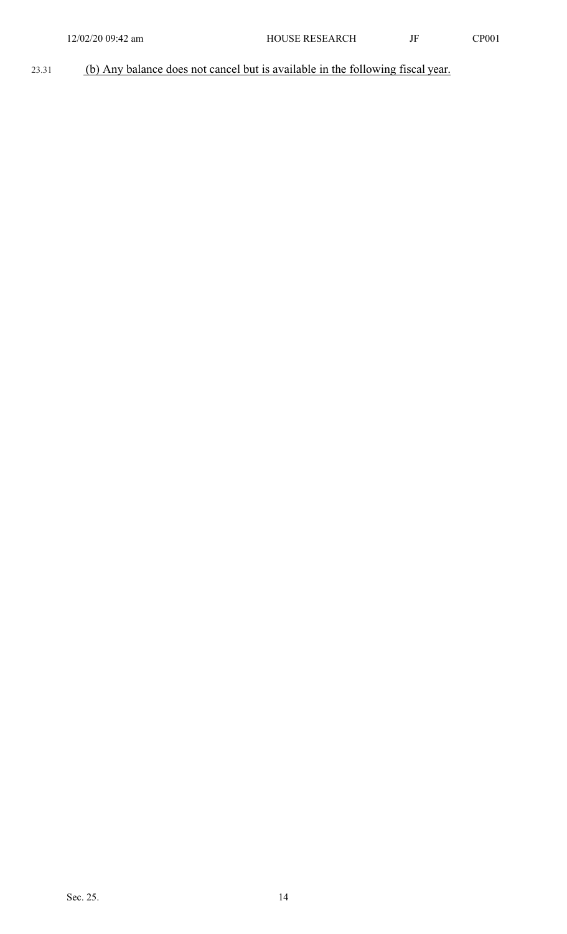# 23.31 (b) Any balance does not cancel but is available in the following fiscal year.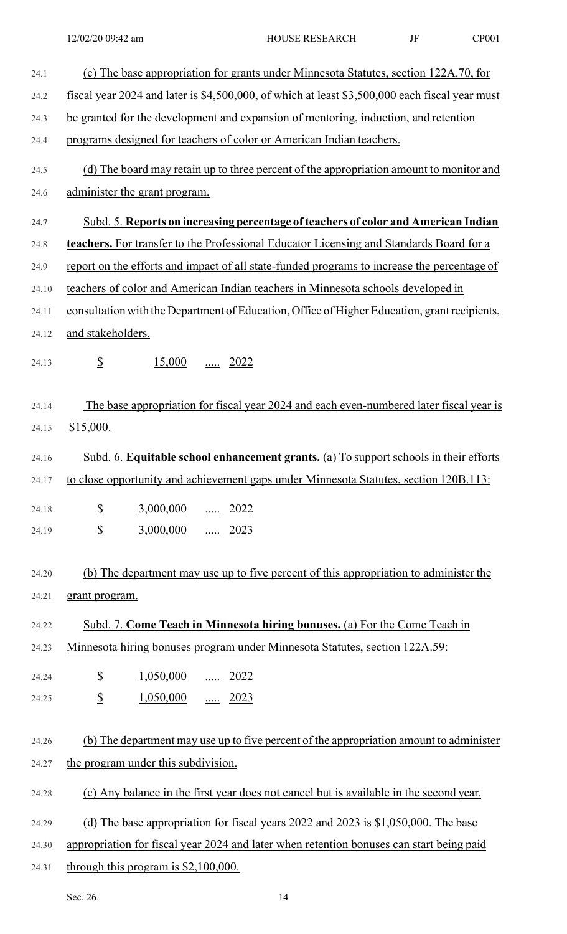| 24.1  | (c) The base appropriation for grants under Minnesota Statutes, section 122A.70, for           |
|-------|------------------------------------------------------------------------------------------------|
| 24.2  | fiscal year 2024 and later is \$4,500,000, of which at least \$3,500,000 each fiscal year must |
| 24.3  | be granted for the development and expansion of mentoring, induction, and retention            |
| 24.4  | programs designed for teachers of color or American Indian teachers.                           |
| 24.5  | (d) The board may retain up to three percent of the appropriation amount to monitor and        |
| 24.6  | administer the grant program.                                                                  |
| 24.7  | Subd. 5. Reports on increasing percentage of teachers of color and American Indian             |
| 24.8  | teachers. For transfer to the Professional Educator Licensing and Standards Board for a        |
| 24.9  | report on the efforts and impact of all state-funded programs to increase the percentage of    |
| 24.10 | teachers of color and American Indian teachers in Minnesota schools developed in               |
| 24.11 | consultation with the Department of Education, Office of Higher Education, grant recipients,   |
| 24.12 | and stakeholders.                                                                              |
| 24.13 | $\mathcal{S}$<br>15,000<br>$\underline{\cdots}$ 2022                                           |
| 24.14 | The base appropriation for fiscal year 2024 and each even-numbered later fiscal year is        |
| 24.15 | \$15,000.                                                                                      |
| 24.16 | Subd. 6. Equitable school enhancement grants. (a) To support schools in their efforts          |
|       | 24.17 to close opportunity and achievement gaps under Minnesota Statutes, section 120B.113:    |
| 24.18 | $\underline{\underline{\$}}$<br>3,000,000  2022                                                |
| 24.19 | $\underline{\underline{\$}}$<br>$3,000,000$ 2023                                               |
|       |                                                                                                |
| 24.20 | (b) The department may use up to five percent of this appropriation to administer the          |
| 24.21 | grant program.                                                                                 |
| 24.22 | Subd. 7. Come Teach in Minnesota hiring bonuses. (a) For the Come Teach in                     |
| 24.23 | Minnesota hiring bonuses program under Minnesota Statutes, section 122A.59:                    |
| 24.24 | $\underline{\underline{\$}}$<br>$1,050,000$ 2022                                               |
| 24.25 | $\overline{\mathbb{S}}$<br>$1,050,000$ 2023                                                    |
|       |                                                                                                |
| 24.26 | (b) The department may use up to five percent of the appropriation amount to administer        |
| 24.27 | the program under this subdivision.                                                            |
| 24.28 | (c) Any balance in the first year does not cancel but is available in the second year.         |
| 24.29 | (d) The base appropriation for fiscal years 2022 and 2023 is $$1,050,000$ . The base           |
| 24.30 | appropriation for fiscal year 2024 and later when retention bonuses can start being paid       |
| 24.31 | through this program is $$2,100,000$ .                                                         |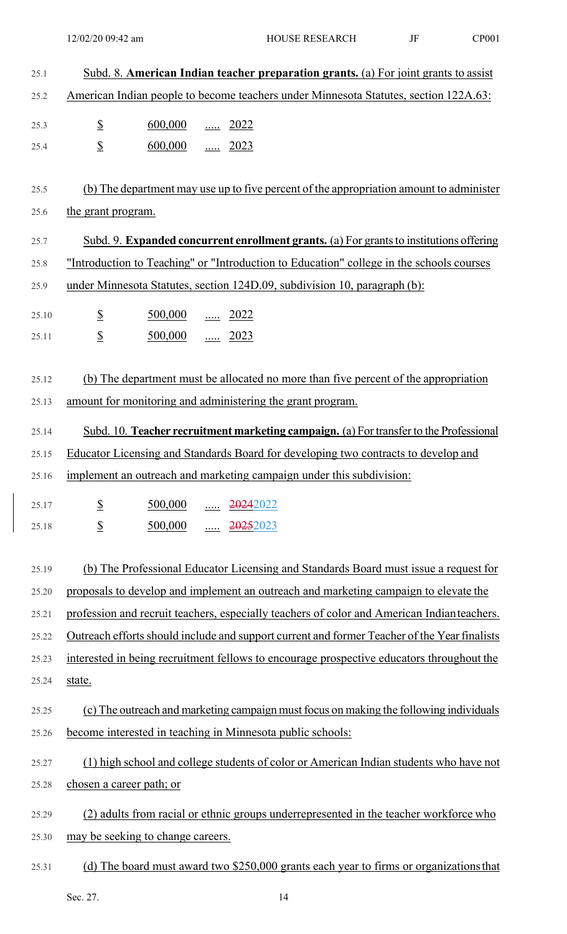| 25.1  | Subd. 8. American Indian teacher preparation grants. (a) For joint grants to assist                 |
|-------|-----------------------------------------------------------------------------------------------------|
| 25.2  | American Indian people to become teachers under Minnesota Statutes, section 122A.63:                |
| 25.3  | $\mathbf{\mathcal{S}}$<br>600,000  2022                                                             |
| 25.4  | $\mathcal{S}$<br>$\underline{600,000}$ 2023                                                         |
|       |                                                                                                     |
| 25.5  | (b) The department may use up to five percent of the appropriation amount to administer             |
| 25.6  | the grant program.                                                                                  |
| 25.7  | Subd. 9. Expanded concurrent enrollment grants. (a) For grants to institutions offering             |
| 25.8  | "Introduction to Teaching" or "Introduction to Education" college in the schools courses            |
| 25.9  | under Minnesota Statutes, section 124D.09, subdivision 10, paragraph (b):                           |
| 25.10 | $\overline{\mathcal{L}}$<br>$\underline{500,000}$ 2022                                              |
| 25.11 | $\mathcal{S}$<br>$\underline{500,000}$ 2023                                                         |
|       |                                                                                                     |
| 25.12 | (b) The department must be allocated no more than five percent of the appropriation                 |
| 25.13 | amount for monitoring and administering the grant program.                                          |
| 25.14 | Subd. 10. Teacher recruitment marketing campaign. (a) For transfer to the Professional              |
| 25.15 | Educator Licensing and Standards Board for developing two contracts to develop and                  |
|       | 25.16 implement an outreach and marketing campaign under this subdivision:                          |
| 25.17 | $\mathbf{\underline{\mathcal{S}}}$<br>500,000<br>20242022<br><u></u>                                |
| 25.18 | $\frac{1}{2}$<br>500,000<br>20252023                                                                |
|       |                                                                                                     |
| 25.19 | (b) The Professional Educator Licensing and Standards Board must issue a request for                |
| 25.20 | proposals to develop and implement an outreach and marketing campaign to elevate the                |
| 25.21 | profession and recruit teachers, especially teachers of color and American Indianteachers.          |
| 25.22 | <u>Outreach efforts should include and support current and former Teacher of the Year finalists</u> |
| 25.23 | interested in being recruitment fellows to encourage prospective educators throughout the           |
| 25.24 | state.                                                                                              |
| 25.25 | (c) The outreach and marketing campaign must focus on making the following individuals              |
| 25.26 | become interested in teaching in Minnesota public schools:                                          |
| 25.27 | (1) high school and college students of color or American Indian students who have not              |
| 25.28 | chosen a career path; or                                                                            |
| 25.29 | (2) adults from racial or ethnic groups underrepresented in the teacher workforce who               |
| 25.30 | may be seeking to change careers.                                                                   |
| 25.31 | (d) The board must award two \$250,000 grants each year to firms or organizations that              |

Sec. 27. 14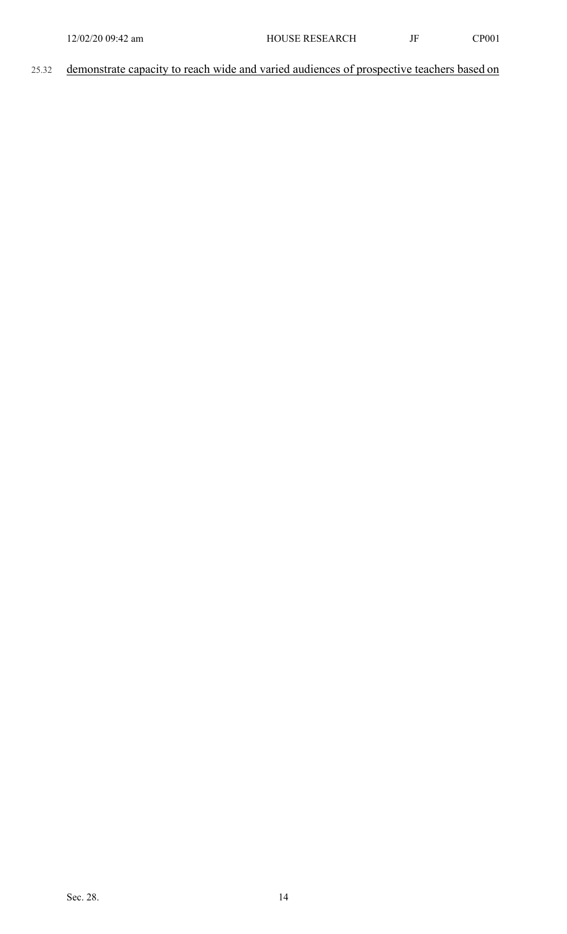25.32 demonstrate capacity to reach wide and varied audiences of prospective teachers based on